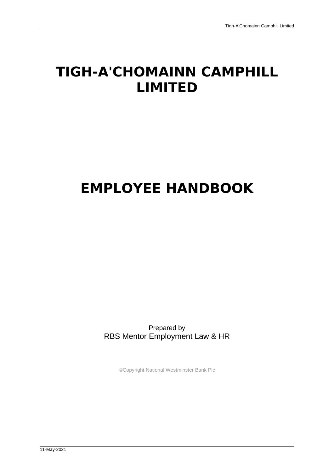# **TIGH-A'CHOMAINN CAMPHILL LIMITED**

# **EMPLOYEE HANDBOOK**

Prepared by RBS Mentor Employment Law & HR

©Copyright National Westminster Bank Plc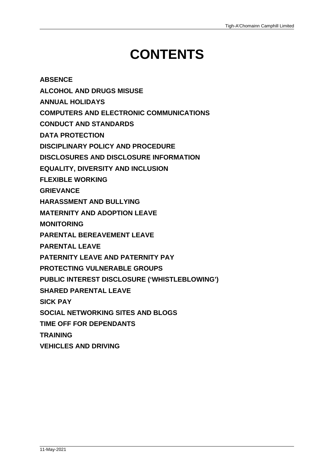# **CONTENTS**

**[ABSENCE](#page-2-0)**

- **[ALCOHOL AND DRUGS MISUSE](#page-7-0)**
- **[ANNUAL HOLIDAYS](#page-8-0)**
- **[COMPUTERS AND ELECTRONIC COMMUNICATIONS](#page-10-0)**
- **[CONDUCT AND STANDARDS](#page-13-0)**
- **[DATA PROTECTION](#page-19-0)**
- **[DISCIPLINARY POLICY AND PROCEDURE](#page-24-0)**
- **[DISCLOSURES AND DISCLOSURE INFORMATION](#page-28-0)**
- **[EQUALITY, DIVERSITY AND INCLUSION](#page-30-0)**
- **[FLEXIBLE WORKING](#page-33-0)**
- **[GRIEVANCE](#page-35-0)**
- **[HARASSMENT AND BULLYING](#page-38-0)**
- **[MATERNITY AND ADOPTION LEAVE](#page-40-0)**
- **[MONITORING](#page-46-0)**
- **[PARENTAL BEREAVEMENT LEAVE](#page-48-0)**
- **[PARENTAL LEAVE](#page-51-0)**
- **[PATERNITY LEAVE AND PATERNITY PAY](#page-53-0)**
- **[PROTECTING VULNERABLE GROUPS](#page-57-0)**
- **[PUBLIC INTEREST DISCLOSURE \('WHISTLEBLOWING'\)](#page-59-0)**
- **[SHARED PARENTAL LEAVE](#page-61-0)**
- **[SICK PAY](#page-66-0)**
- **[SOCIAL NETWORKING SITES AND BLOGS](#page-67-0)**
- **[TIME OFF FOR DEPENDANTS](#page-70-0)**
- **[TRAINING](#page-72-0)**
- **[VEHICLES AND DRIVING](#page-73-0)**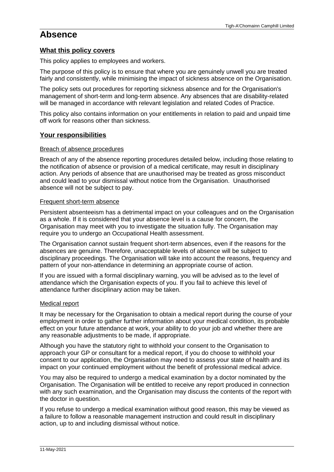# <span id="page-2-0"></span>**Absence**

# **What this policy covers**

This policy applies to employees and workers.

The purpose of this policy is to ensure that where you are genuinely unwell you are treated fairly and consistently, while minimising the impact of sickness absence on the Organisation.

The policy sets out procedures for reporting sickness absence and for the Organisation's management of short-term and long-term absence. Any absences that are disability-related will be managed in accordance with relevant legislation and related Codes of Practice.

This policy also contains information on your entitlements in relation to paid and unpaid time off work for reasons other than sickness.

# **Your responsibilities**

# Breach of absence procedures

Breach of any of the absence reporting procedures detailed below, including those relating to the notification of absence or provision of a medical certificate, may result in disciplinary action. Any periods of absence that are unauthorised may be treated as gross misconduct and could lead to your dismissal without notice from the Organisation. Unauthorised absence will not be subject to pay.

# Frequent short-term absence

Persistent absenteeism has a detrimental impact on your colleagues and on the Organisation as a whole. If it is considered that your absence level is a cause for concern, the Organisation may meet with you to investigate the situation fully. The Organisation may require you to undergo an Occupational Health assessment.

The Organisation cannot sustain frequent short-term absences, even if the reasons for the absences are genuine. Therefore, unacceptable levels of absence will be subject to disciplinary proceedings. The Organisation will take into account the reasons, frequency and pattern of your non-attendance in determining an appropriate course of action.

If you are issued with a formal disciplinary warning, you will be advised as to the level of attendance which the Organisation expects of you. If you fail to achieve this level of attendance further disciplinary action may be taken.

#### Medical report

It may be necessary for the Organisation to obtain a medical report during the course of your employment in order to gather further information about your medical condition, its probable effect on your future attendance at work, your ability to do your job and whether there are any reasonable adjustments to be made, if appropriate.

Although you have the statutory right to withhold your consent to the Organisation to approach your GP or consultant for a medical report, if you do choose to withhold your consent to our application, the Organisation may need to assess your state of health and its impact on your continued employment without the benefit of professional medical advice.

You may also be required to undergo a medical examination by a doctor nominated by the Organisation. The Organisation will be entitled to receive any report produced in connection with any such examination, and the Organisation may discuss the contents of the report with the doctor in question.

If you refuse to undergo a medical examination without good reason, this may be viewed as a failure to follow a reasonable management instruction and could result in disciplinary action, up to and including dismissal without notice.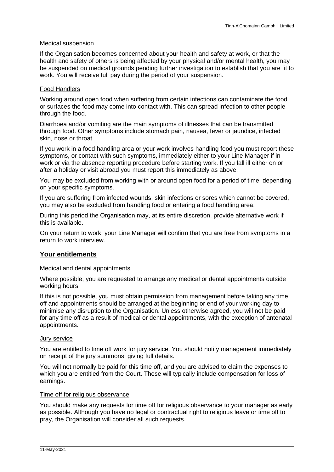#### Medical suspension

If the Organisation becomes concerned about your health and safety at work, or that the health and safety of others is being affected by your physical and/or mental health, you may be suspended on medical grounds pending further investigation to establish that you are fit to work. You will receive full pay during the period of your suspension.

# Food Handlers

Working around open food when suffering from certain infections can contaminate the food or surfaces the food may come into contact with. This can spread infection to other people through the food.

Diarrhoea and/or vomiting are the main symptoms of illnesses that can be transmitted through food. Other symptoms include stomach pain, nausea, fever or jaundice, infected skin, nose or throat.

If you work in a food handling area or your work involves handling food you must report these symptoms, or contact with such symptoms, immediately either to your Line Manager if in work or via the absence reporting procedure before starting work. If you fall ill either on or after a holiday or visit abroad you must report this immediately as above.

You may be excluded from working with or around open food for a period of time, depending on your specific symptoms.

If you are suffering from infected wounds, skin infections or sores which cannot be covered, you may also be excluded from handling food or entering a food handling area.

During this period the Organisation may, at its entire discretion, provide alternative work if this is available.

On your return to work, your Line Manager will confirm that you are free from symptoms in a return to work interview.

# **Your entitlements**

#### Medical and dental appointments

Where possible, you are requested to arrange any medical or dental appointments outside working hours.

If this is not possible, you must obtain permission from management before taking any time off and appointments should be arranged at the beginning or end of your working day to minimise any disruption to the Organisation. Unless otherwise agreed, you will not be paid for any time off as a result of medical or dental appointments, with the exception of antenatal appointments.

#### **Jury service**

You are entitled to time off work for jury service. You should notify management immediately on receipt of the jury summons, giving full details.

You will not normally be paid for this time off, and you are advised to claim the expenses to which you are entitled from the Court. These will typically include compensation for loss of earnings.

# Time off for religious observance

You should make any requests for time off for religious observance to your manager as early as possible. Although you have no legal or contractual right to religious leave or time off to pray, the Organisation will consider all such requests.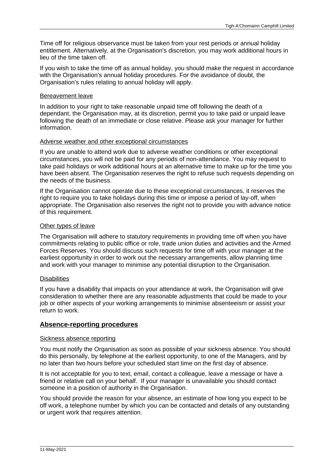Time off for religious observance must be taken from your rest periods or annual holiday entitlement. Alternatively, at the Organisation's discretion, you may work additional hours in lieu of the time taken off.

If you wish to take the time off as annual holiday, you should make the request in accordance with the Organisation's annual holiday procedures. For the avoidance of doubt, the Organisation's rules relating to annual holiday will apply.

# Bereavement leave

In addition to your right to take reasonable unpaid time off following the death of a dependant, the Organisation may, at its discretion, permit you to take paid or unpaid leave following the death of an immediate or close relative. Please ask your manager for further information.

# Adverse weather and other exceptional circumstances

If you are unable to attend work due to adverse weather conditions or other exceptional circumstances, you will not be paid for any periods of non-attendance. You may request to take paid holidays or work additional hours at an alternative time to make up for the time you have been absent. The Organisation reserves the right to refuse such requests depending on the needs of the business.

If the Organisation cannot operate due to these exceptional circumstances, it reserves the right to require you to take holidays during this time or impose a period of lay-off, when appropriate. The Organisation also reserves the right not to provide you with advance notice of this requirement.

# Other types of leave

The Organisation will adhere to statutory requirements in providing time off when you have commitments relating to public office or role, trade union duties and activities and the Armed Forces Reserves. You should discuss such requests for time off with your manager at the earliest opportunity in order to work out the necessary arrangements, allow planning time and work with your manager to minimise any potential disruption to the Organisation.

# **Disabilities**

If you have a disability that impacts on your attendance at work, the Organisation will give consideration to whether there are any reasonable adjustments that could be made to your job or other aspects of your working arrangements to minimise absenteeism or assist your return to work.

# **Absence-reporting procedures**

#### Sickness absence reporting

You must notify the Organisation as soon as possible of your sickness absence. You should do this personally, by telephone at the earliest opportunity, to one of the Managers, and by no later than two hours before your scheduled start time on the first day of absence.

It is not acceptable for you to text, email, contact a colleague, leave a message or have a friend or relative call on your behalf. If your manager is unavailable you should contact someone in a position of authority in the Organisation.

You should provide the reason for your absence, an estimate of how long you expect to be off work, a telephone number by which you can be contacted and details of any outstanding or urgent work that requires attention.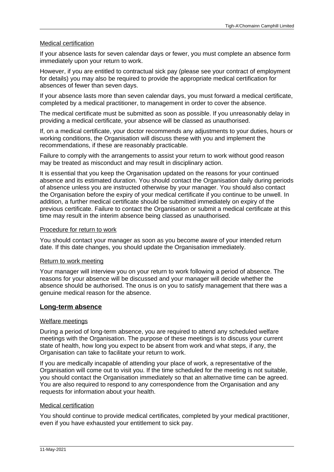# Medical certification

If your absence lasts for seven calendar days or fewer, you must complete an absence form immediately upon your return to work.

However, if you are entitled to contractual sick pay (please see your contract of employment for details) you may also be required to provide the appropriate medical certification for absences of fewer than seven days.

If your absence lasts more than seven calendar days, you must forward a medical certificate, completed by a medical practitioner, to management in order to cover the absence.

The medical certificate must be submitted as soon as possible. If you unreasonably delay in providing a medical certificate, your absence will be classed as unauthorised.

If, on a medical certificate, your doctor recommends any adjustments to your duties, hours or working conditions, the Organisation will discuss these with you and implement the recommendations, if these are reasonably practicable.

Failure to comply with the arrangements to assist your return to work without good reason may be treated as misconduct and may result in disciplinary action.

It is essential that you keep the Organisation updated on the reasons for your continued absence and its estimated duration. You should contact the Organisation daily during periods of absence unless you are instructed otherwise by your manager. You should also contact the Organisation before the expiry of your medical certificate if you continue to be unwell. In addition, a further medical certificate should be submitted immediately on expiry of the previous certificate. Failure to contact the Organisation or submit a medical certificate at this time may result in the interim absence being classed as unauthorised.

# Procedure for return to work

You should contact your manager as soon as you become aware of your intended return date. If this date changes, you should update the Organisation immediately.

#### Return to work meeting

Your manager will interview you on your return to work following a period of absence. The reasons for your absence will be discussed and your manager will decide whether the absence should be authorised. The onus is on you to satisfy management that there was a genuine medical reason for the absence.

#### **Long-term absence**

#### Welfare meetings

During a period of long-term absence, you are required to attend any scheduled welfare meetings with the Organisation. The purpose of these meetings is to discuss your current state of health, how long you expect to be absent from work and what steps, if any, the Organisation can take to facilitate your return to work.

If you are medically incapable of attending your place of work, a representative of the Organisation will come out to visit you. If the time scheduled for the meeting is not suitable, you should contact the Organisation immediately so that an alternative time can be agreed. You are also required to respond to any correspondence from the Organisation and any requests for information about your health.

#### Medical certification

You should continue to provide medical certificates, completed by your medical practitioner, even if you have exhausted your entitlement to sick pay.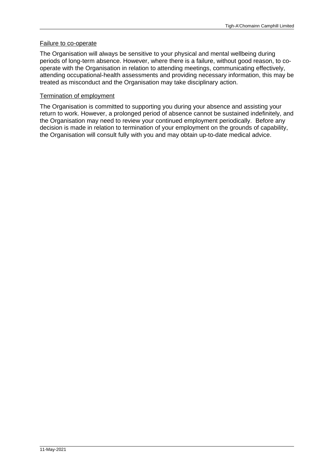# Failure to co-operate

The Organisation will always be sensitive to your physical and mental wellbeing during periods of long-term absence. However, where there is a failure, without good reason, to cooperate with the Organisation in relation to attending meetings, communicating effectively, attending occupational-health assessments and providing necessary information, this may be treated as misconduct and the Organisation may take disciplinary action.

# Termination of employment

The Organisation is committed to supporting you during your absence and assisting your return to work. However, a prolonged period of absence cannot be sustained indefinitely, and the Organisation may need to review your continued employment periodically. Before any decision is made in relation to termination of your employment on the grounds of capability, the Organisation will consult fully with you and may obtain up-to-date medical advice.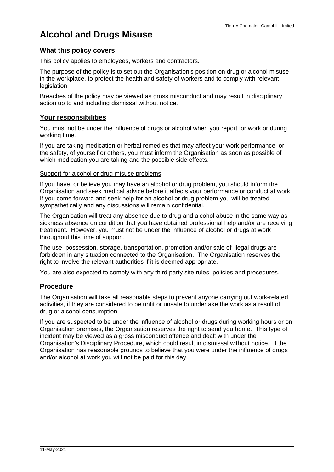# <span id="page-7-0"></span>**Alcohol and Drugs Misuse**

# **What this policy covers**

This policy applies to employees, workers and contractors.

The purpose of the policy is to set out the Organisation's position on drug or alcohol misuse in the workplace, to protect the health and safety of workers and to comply with relevant legislation.

Breaches of the policy may be viewed as gross misconduct and may result in disciplinary action up to and including dismissal without notice.

# **Your responsibilities**

You must not be under the influence of drugs or alcohol when you report for work or during working time.

If you are taking medication or herbal remedies that may affect your work performance, or the safety, of yourself or others, you must inform the Organisation as soon as possible of which medication you are taking and the possible side effects.

# Support for alcohol or drug misuse problems

If you have, or believe you may have an alcohol or drug problem, you should inform the Organisation and seek medical advice before it affects your performance or conduct at work. If you come forward and seek help for an alcohol or drug problem you will be treated sympathetically and any discussions will remain confidential.

The Organisation will treat any absence due to drug and alcohol abuse in the same way as sickness absence on condition that you have obtained professional help and/or are receiving treatment. However, you must not be under the influence of alcohol or drugs at work throughout this time of support.

The use, possession, storage, transportation, promotion and/or sale of illegal drugs are forbidden in any situation connected to the Organisation. The Organisation reserves the right to involve the relevant authorities if it is deemed appropriate.

You are also expected to comply with any third party site rules, policies and procedures.

# **Procedure**

The Organisation will take all reasonable steps to prevent anyone carrying out work-related activities, if they are considered to be unfit or unsafe to undertake the work as a result of drug or alcohol consumption.

If you are suspected to be under the influence of alcohol or drugs during working hours or on Organisation premises, the Organisation reserves the right to send you home. This type of incident may be viewed as a gross misconduct offence and dealt with under the Organisation's Disciplinary Procedure, which could result in dismissal without notice. If the Organisation has reasonable grounds to believe that you were under the influence of drugs and/or alcohol at work you will not be paid for this day.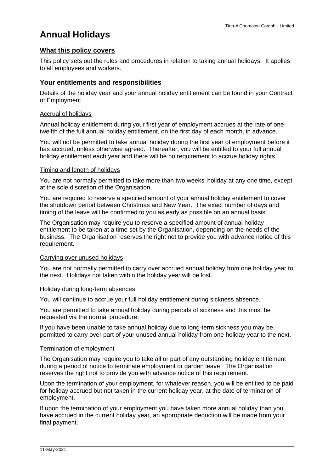# <span id="page-8-0"></span>**Annual Holidays**

# **What this policy covers**

This policy sets out the rules and procedures in relation to taking annual holidays. It applies to all employees and workers.

# **Your entitlements and responsibilities**

Details of the holiday year and your annual holiday entitlement can be found in your Contract of Employment.

# Accrual of holidays

Annual holiday entitlement during your first year of employment accrues at the rate of onetwelfth of the full annual holiday entitlement, on the first day of each month, in advance.

You will not be permitted to take annual holiday during the first year of employment before it has accrued, unless otherwise agreed. Thereafter, you will be entitled to your full annual holiday entitlement each year and there will be no requirement to accrue holiday rights.

# Timing and length of holidays

You are not normally permitted to take more than two weeks' holiday at any one time, except at the sole discretion of the Organisation.

You are required to reserve a specified amount of your annual holiday entitlement to cover the shutdown period between Christmas and New Year. The exact number of days and timing of the leave will be confirmed to you as early as possible on an annual basis.

The Organisation may require you to reserve a specified amount of annual holiday entitlement to be taken at a time set by the Organisation, depending on the needs of the business. The Organisation reserves the right not to provide you with advance notice of this requirement.

#### Carrying over unused holidays

You are not normally permitted to carry over accrued annual holiday from one holiday year to the next. Holidays not taken within the holiday year will be lost.

#### Holiday during long-term absences

You will continue to accrue your full holiday entitlement during sickness absence.

You are permitted to take annual holiday during periods of sickness and this must be requested via the normal procedure.

If you have been unable to take annual holiday due to long-term sickness you may be permitted to carry over part of your unused annual holiday from one holiday year to the next.

#### Termination of employment

The Organisation may require you to take all or part of any outstanding holiday entitlement during a period of notice to terminate employment or garden leave. The Organisation reserves the right not to provide you with advance notice of this requirement.

Upon the termination of your employment, for whatever reason, you will be entitled to be paid for holiday accrued but not taken in the current holiday year, at the date of termination of employment.

If upon the termination of your employment you have taken more annual holiday than you have accrued in the current holiday year, an appropriate deduction will be made from your final payment.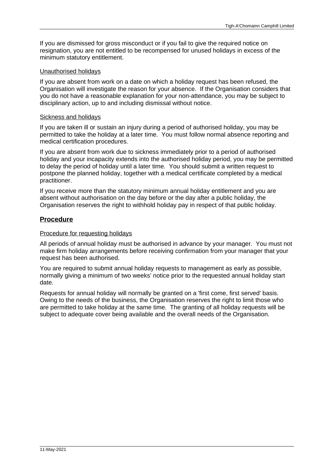If you are dismissed for gross misconduct or if you fail to give the required notice on resignation, you are not entitled to be recompensed for unused holidays in excess of the minimum statutory entitlement.

# Unauthorised holidays

If you are absent from work on a date on which a holiday request has been refused, the Organisation will investigate the reason for your absence. If the Organisation considers that you do not have a reasonable explanation for your non-attendance, you may be subject to disciplinary action, up to and including dismissal without notice.

#### Sickness and holidays

If you are taken ill or sustain an injury during a period of authorised holiday, you may be permitted to take the holiday at a later time. You must follow normal absence reporting and medical certification procedures.

If you are absent from work due to sickness immediately prior to a period of authorised holiday and your incapacity extends into the authorised holiday period, you may be permitted to delay the period of holiday until a later time. You should submit a written request to postpone the planned holiday, together with a medical certificate completed by a medical practitioner.

If you receive more than the statutory minimum annual holiday entitlement and you are absent without authorisation on the day before or the day after a public holiday, the Organisation reserves the right to withhold holiday pay in respect of that public holiday.

# **Procedure**

# Procedure for requesting holidays

All periods of annual holiday must be authorised in advance by your manager. You must not make firm holiday arrangements before receiving confirmation from your manager that your request has been authorised.

You are required to submit annual holiday requests to management as early as possible, normally giving a minimum of two weeks' notice prior to the requested annual holiday start date.

Requests for annual holiday will normally be granted on a 'first come, first served' basis. Owing to the needs of the business, the Organisation reserves the right to limit those who are permitted to take holiday at the same time. The granting of all holiday requests will be subject to adequate cover being available and the overall needs of the Organisation.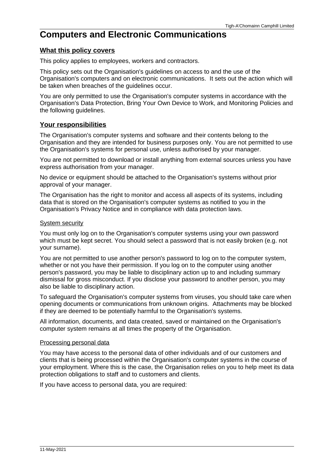# <span id="page-10-0"></span>**Computers and Electronic Communications**

# **What this policy covers**

This policy applies to employees, workers and contractors.

This policy sets out the Organisation's guidelines on access to and the use of the Organisation's computers and on electronic communications. It sets out the action which will be taken when breaches of the guidelines occur.

You are only permitted to use the Organisation's computer systems in accordance with the Organisation's Data Protection, Bring Your Own Device to Work, and Monitoring Policies and the following guidelines.

# **Your responsibilities**

The Organisation's computer systems and software and their contents belong to the Organisation and they are intended for business purposes only. You are not permitted to use the Organisation's systems for personal use, unless authorised by your manager.

You are not permitted to download or install anything from external sources unless you have express authorisation from your manager.

No device or equipment should be attached to the Organisation's systems without prior approval of your manager.

The Organisation has the right to monitor and access all aspects of its systems, including data that is stored on the Organisation's computer systems as notified to you in the Organisation's Privacy Notice and in compliance with data protection laws.

# System security

You must only log on to the Organisation's computer systems using your own password which must be kept secret. You should select a password that is not easily broken (e.g. not your surname).

You are not permitted to use another person's password to log on to the computer system, whether or not you have their permission. If you log on to the computer using another person's password, you may be liable to disciplinary action up to and including summary dismissal for gross misconduct. If you disclose your password to another person, you may also be liable to disciplinary action.

To safeguard the Organisation's computer systems from viruses, you should take care when opening documents or communications from unknown origins. Attachments may be blocked if they are deemed to be potentially harmful to the Organisation's systems.

All information, documents, and data created, saved or maintained on the Organisation's computer system remains at all times the property of the Organisation.

#### Processing personal data

You may have access to the personal data of other individuals and of our customers and clients that is being processed within the Organisation's computer systems in the course of your employment. Where this is the case, the Organisation relies on you to help meet its data protection obligations to staff and to customers and clients.

If you have access to personal data, you are required: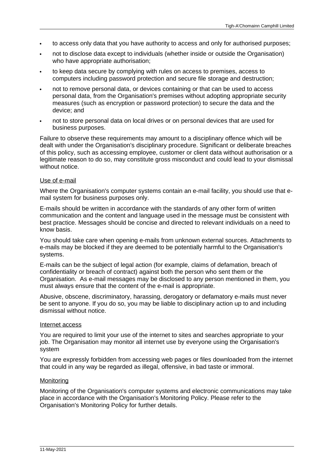- to access only data that you have authority to access and only for authorised purposes;
- · not to disclose data except to individuals (whether inside or outside the Organisation) who have appropriate authorisation;
- · to keep data secure by complying with rules on access to premises, access to computers including password protection and secure file storage and destruction;
- not to remove personal data, or devices containing or that can be used to access personal data, from the Organisation's premises without adopting appropriate security measures (such as encryption or password protection) to secure the data and the device; and
- · not to store personal data on local drives or on personal devices that are used for business purposes.

Failure to observe these requirements may amount to a disciplinary offence which will be dealt with under the Organisation's disciplinary procedure. Significant or deliberate breaches of this policy, such as accessing employee, customer or client data without authorisation or a legitimate reason to do so, may constitute gross misconduct and could lead to your dismissal without notice.

# Use of e-mail

Where the Organisation's computer systems contain an e-mail facility, you should use that email system for business purposes only.

E-mails should be written in accordance with the standards of any other form of written communication and the content and language used in the message must be consistent with best practice. Messages should be concise and directed to relevant individuals on a need to know basis.

You should take care when opening e-mails from unknown external sources. Attachments to e-mails may be blocked if they are deemed to be potentially harmful to the Organisation's systems.

E-mails can be the subject of legal action (for example, claims of defamation, breach of confidentiality or breach of contract) against both the person who sent them or the Organisation. As e-mail messages may be disclosed to any person mentioned in them, you must always ensure that the content of the e-mail is appropriate.

Abusive, obscene, discriminatory, harassing, derogatory or defamatory e-mails must never be sent to anyone. If you do so, you may be liable to disciplinary action up to and including dismissal without notice.

#### Internet access

You are required to limit your use of the internet to sites and searches appropriate to your job. The Organisation may monitor all internet use by everyone using the Organisation's system

You are expressly forbidden from accessing web pages or files downloaded from the internet that could in any way be regarded as illegal, offensive, in bad taste or immoral.

#### **Monitoring**

Monitoring of the Organisation's computer systems and electronic communications may take place in accordance with the Organisation's Monitoring Policy. Please refer to the Organisation's Monitoring Policy for further details.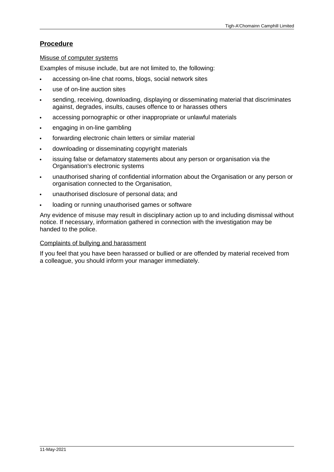# **Procedure**

# Misuse of computer systems

Examples of misuse include, but are not limited to, the following:

- accessing on-line chat rooms, blogs, social network sites
- use of on-line auction sites
- sending, receiving, downloading, displaying or disseminating material that discriminates against, degrades, insults, causes offence to or harasses others
- · accessing pornographic or other inappropriate or unlawful materials
- · engaging in on-line gambling
- forwarding electronic chain letters or similar material
- · downloading or disseminating copyright materials
- · issuing false or defamatory statements about any person or organisation via the Organisation's electronic systems
- · unauthorised sharing of confidential information about the Organisation or any person or organisation connected to the Organisation,
- · unauthorised disclosure of personal data; and
- loading or running unauthorised games or software

Any evidence of misuse may result in disciplinary action up to and including dismissal without notice. If necessary, information gathered in connection with the investigation may be handed to the police.

# Complaints of bullying and harassment

If you feel that you have been harassed or bullied or are offended by material received from a colleague, you should inform your manager immediately.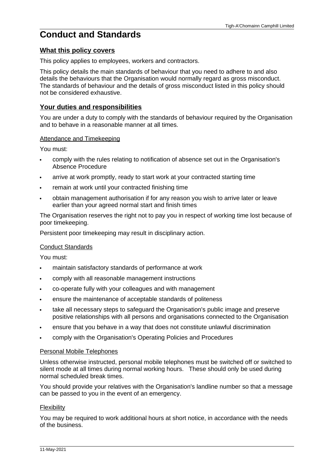# <span id="page-13-0"></span>**Conduct and Standards**

# **What this policy covers**

This policy applies to employees, workers and contractors.

This policy details the main standards of behaviour that you need to adhere to and also details the behaviours that the Organisation would normally regard as gross misconduct. The standards of behaviour and the details of gross misconduct listed in this policy should not be considered exhaustive.

# **Your duties and responsibilities**

You are under a duty to comply with the standards of behaviour required by the Organisation and to behave in a reasonable manner at all times.

# Attendance and Timekeeping

You must:

- · comply with the rules relating to notification of absence set out in the Organisation's Absence Procedure
- arrive at work promptly, ready to start work at your contracted starting time
- · remain at work until your contracted finishing time
- · obtain management authorisation if for any reason you wish to arrive later or leave earlier than your agreed normal start and finish times

The Organisation reserves the right not to pay you in respect of working time lost because of poor timekeeping.

Persistent poor timekeeping may result in disciplinary action.

#### Conduct Standards

You must:

- maintain satisfactory standards of performance at work
- comply with all reasonable management instructions
- · co-operate fully with your colleagues and with management
- · ensure the maintenance of acceptable standards of politeness
- take all necessary steps to safeguard the Organisation's public image and preserve positive relationships with all persons and organisations connected to the Organisation
- ensure that you behave in a way that does not constitute unlawful discrimination
- · comply with the Organisation's Operating Policies and Procedures

#### Personal Mobile Telephones

Unless otherwise instructed, personal mobile telephones must be switched off or switched to silent mode at all times during normal working hours. These should only be used during normal scheduled break times.

You should provide your relatives with the Organisation's landline number so that a message can be passed to you in the event of an emergency.

#### **Flexibility**

You may be required to work additional hours at short notice, in accordance with the needs of the business.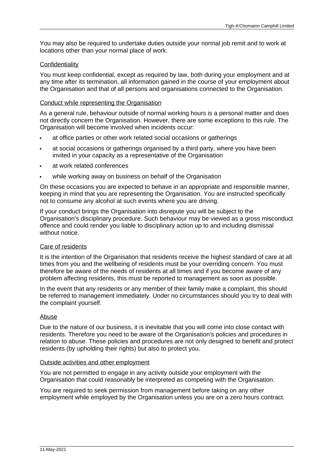You may also be required to undertake duties outside your normal job remit and to work at locations other than your normal place of work.

# **Confidentiality**

You must keep confidential, except as required by law, both during your employment and at any time after its termination, all information gained in the course of your employment about the Organisation and that of all persons and organisations connected to the Organisation.

# Conduct while representing the Organisation

As a general rule, behaviour outside of normal working hours is a personal matter and does not directly concern the Organisation. However, there are some exceptions to this rule. The Organisation will become involved when incidents occur:

- at office parties or other work related social occasions or gatherings
- at social occasions or gatherings organised by a third party, where you have been invited in your capacity as a representative of the Organisation
- at work related conferences
- while working away on business on behalf of the Organisation

On these occasions you are expected to behave in an appropriate and responsible manner, keeping in mind that you are representing the Organisation. You are instructed specifically not to consume any alcohol at such events where you are driving.

If your conduct brings the Organisation into disrepute you will be subject to the Organisation's disciplinary procedure. Such behaviour may be viewed as a gross misconduct offence and could render you liable to disciplinary action up to and including dismissal without notice.

#### Care of residents

It is the intention of the Organisation that residents receive the highest standard of care at all times from you and the wellbeing of residents must be your overriding concern. You must therefore be aware of the needs of residents at all times and if you become aware of any problem affecting residents, this must be reported to management as soon as possible.

In the event that any residents or any member of their family make a complaint, this should be referred to management immediately. Under no circumstances should you try to deal with the complaint yourself.

# Abuse

Due to the nature of our business, it is inevitable that you will come into close contact with residents. Therefore you need to be aware of the Organisation's policies and procedures in relation to abuse. These policies and procedures are not only designed to benefit and protect residents (by upholding their rights) but also to protect you.

#### Outside activities and other employment

You are not permitted to engage in any activity outside your employment with the Organisation that could reasonably be interpreted as competing with the Organisation.

You are required to seek permission from management before taking on any other employment while employed by the Organisation unless you are on a zero hours contract.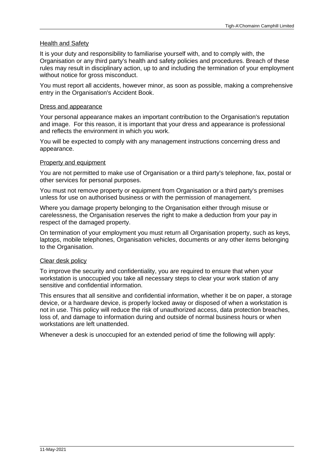#### Health and Safety

It is your duty and responsibility to familiarise yourself with, and to comply with, the Organisation or any third party's health and safety policies and procedures. Breach of these rules may result in disciplinary action, up to and including the termination of your employment without notice for gross misconduct.

You must report all accidents, however minor, as soon as possible, making a comprehensive entry in the Organisation's Accident Book.

#### Dress and appearance

Your personal appearance makes an important contribution to the Organisation's reputation and image. For this reason, it is important that your dress and appearance is professional and reflects the environment in which you work.

You will be expected to comply with any management instructions concerning dress and appearance.

#### Property and equipment

You are not permitted to make use of Organisation or a third party's telephone, fax, postal or other services for personal purposes.

You must not remove property or equipment from Organisation or a third party's premises unless for use on authorised business or with the permission of management.

Where you damage property belonging to the Organisation either through misuse or carelessness, the Organisation reserves the right to make a deduction from your pay in respect of the damaged property.

On termination of your employment you must return all Organisation property, such as keys, laptops, mobile telephones, Organisation vehicles, documents or any other items belonging to the Organisation.

#### Clear desk policy

To improve the security and confidentiality, you are required to ensure that when your workstation is unoccupied you take all necessary steps to clear your work station of any sensitive and confidential information.

This ensures that all sensitive and confidential information, whether it be on paper, a storage device, or a hardware device, is properly locked away or disposed of when a workstation is not in use. This policy will reduce the risk of unauthorized access, data protection breaches, loss of, and damage to information during and outside of normal business hours or when workstations are left unattended.

Whenever a desk is unoccupied for an extended period of time the following will apply: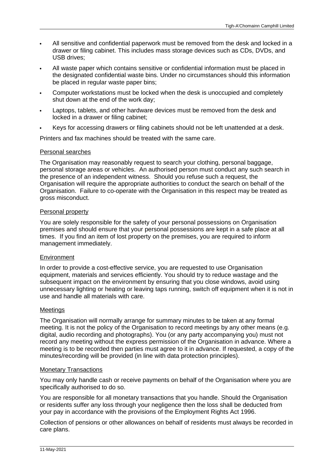- All sensitive and confidential paperwork must be removed from the desk and locked in a drawer or filing cabinet. This includes mass storage devices such as CDs, DVDs, and USB drives;
- All waste paper which contains sensitive or confidential information must be placed in the designated confidential waste bins. Under no circumstances should this information be placed in regular waste paper bins;
- · Computer workstations must be locked when the desk is unoccupied and completely shut down at the end of the work day;
- Laptops, tablets, and other hardware devices must be removed from the desk and locked in a drawer or filing cabinet;
- Keys for accessing drawers or filing cabinets should not be left unattended at a desk.

Printers and fax machines should be treated with the same care.

# Personal searches

The Organisation may reasonably request to search your clothing, personal baggage, personal storage areas or vehicles. An authorised person must conduct any such search in the presence of an independent witness. Should you refuse such a request, the Organisation will require the appropriate authorities to conduct the search on behalf of the Organisation. Failure to co-operate with the Organisation in this respect may be treated as gross misconduct.

# Personal property

You are solely responsible for the safety of your personal possessions on Organisation premises and should ensure that your personal possessions are kept in a safe place at all times. If you find an item of lost property on the premises, you are required to inform management immediately.

#### Environment

In order to provide a cost-effective service, you are requested to use Organisation equipment, materials and services efficiently. You should try to reduce wastage and the subsequent impact on the environment by ensuring that you close windows, avoid using unnecessary lighting or heating or leaving taps running, switch off equipment when it is not in use and handle all materials with care.

#### **Meetings**

The Organisation will normally arrange for summary minutes to be taken at any formal meeting. It is not the policy of the Organisation to record meetings by any other means (e.g. digital, audio recording and photographs). You (or any party accompanying you) must not record any meeting without the express permission of the Organisation in advance. Where a meeting is to be recorded then parties must agree to it in advance. If requested, a copy of the minutes/recording will be provided (in line with data protection principles).

#### Monetary Transactions

You may only handle cash or receive payments on behalf of the Organisation where you are specifically authorised to do so.

You are responsible for all monetary transactions that you handle. Should the Organisation or residents suffer any loss through your negligence then the loss shall be deducted from your pay in accordance with the provisions of the Employment Rights Act 1996.

Collection of pensions or other allowances on behalf of residents must always be recorded in care plans.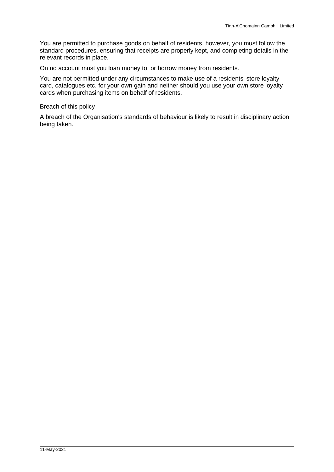You are permitted to purchase goods on behalf of residents, however, you must follow the standard procedures, ensuring that receipts are properly kept, and completing details in the relevant records in place.

On no account must you loan money to, or borrow money from residents.

You are not permitted under any circumstances to make use of a residents' store loyalty card, catalogues etc. for your own gain and neither should you use your own store loyalty cards when purchasing items on behalf of residents.

#### **Breach of this policy**

A breach of the Organisation's standards of behaviour is likely to result in disciplinary action being taken.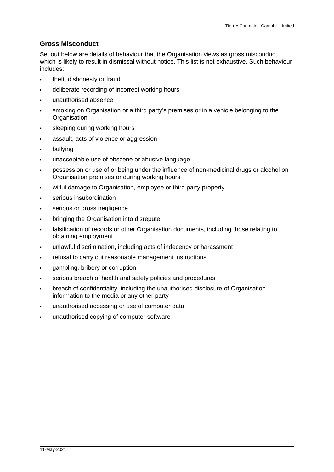# **Gross Misconduct**

Set out below are details of behaviour that the Organisation views as gross misconduct, which is likely to result in dismissal without notice. This list is not exhaustive. Such behaviour includes:

- · theft, dishonesty or fraud
- deliberate recording of incorrect working hours
- · unauthorised absence
- smoking on Organisation or a third party's premises or in a vehicle belonging to the **Organisation**
- · sleeping during working hours
- assault, acts of violence or aggression
- · bullying
- · unacceptable use of obscene or abusive language
- · possession or use of or being under the influence of non-medicinal drugs or alcohol on Organisation premises or during working hours
- wilful damage to Organisation, employee or third party property
- serious insubordination
- serious or gross negligence
- · bringing the Organisation into disrepute
- falsification of records or other Organisation documents, including those relating to obtaining employment
- unlawful discrimination, including acts of indecency or harassment
- · refusal to carry out reasonable management instructions
- · gambling, bribery or corruption
- serious breach of health and safety policies and procedures
- · breach of confidentiality, including the unauthorised disclosure of Organisation information to the media or any other party
- · unauthorised accessing or use of computer data
- unauthorised copying of computer software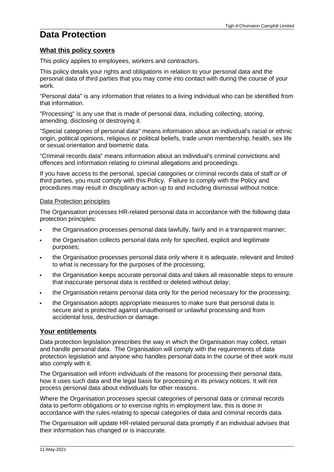# <span id="page-19-0"></span>**Data Protection**

# **What this policy covers**

This policy applies to employees, workers and contractors.

This policy details your rights and obligations in relation to your personal data and the personal data of third parties that you may come into contact with during the course of your work.

"Personal data" is any information that relates to a living individual who can be identified from that information.

"Processing" is any use that is made of personal data, including collecting, storing, amending, disclosing or destroying it.

"Special categories of personal data" means information about an individual's racial or ethnic origin, political opinions, religious or political beliefs, trade union membership, health, sex life or sexual orientation and biometric data.

"Criminal records data" means information about an individual's criminal convictions and offences and information relating to criminal allegations and proceedings.

If you have access to the personal, special categories or criminal records data of staff or of third parties, you must comply with this Policy. Failure to comply with the Policy and procedures may result in disciplinary action up to and including dismissal without notice.

#### Data Protection principles

The Organisation processes HR-related personal data in accordance with the following data protection principles:

- · the Organisation processes personal data lawfully, fairly and in a transparent manner;
- the Organisation collects personal data only for specified, explicit and legitimate purposes;
- · the Organisation processes personal data only where it is adequate, relevant and limited to what is necessary for the purposes of the processing;
- · the Organisation keeps accurate personal data and takes all reasonable steps to ensure that inaccurate personal data is rectified or deleted without delay;
- · the Organisation retains personal data only for the period necessary for the processing;
- · the Organisation adopts appropriate measures to make sure that personal data is secure and is protected against unauthorised or unlawful processing and from accidental loss, destruction or damage.

# **Your entitlements**

Data protection legislation prescribes the way in which the Organisation may collect, retain and handle personal data. The Organisation will comply with the requirements of data protection legislation and anyone who handles personal data in the course of their work must also comply with it.

The Organisation will inform individuals of the reasons for processing their personal data, how it uses such data and the legal basis for processing in its privacy notices. It will not process personal data about individuals for other reasons.

Where the Organisation processes special categories of personal data or criminal records data to perform obligations or to exercise rights in employment law, this is done in accordance with the rules relating to special categories of data and criminal records data.

The Organisation will update HR-related personal data promptly if an individual advises that their information has changed or is inaccurate.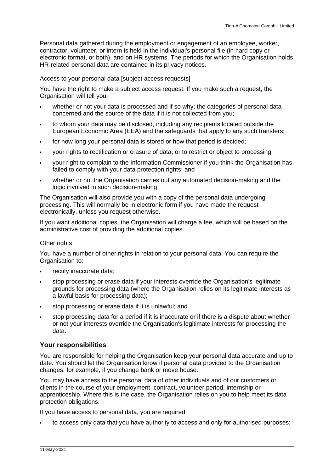Personal data gathered during the employment or engagement of an employee, worker, contractor, volunteer, or intern is held in the individual's personal file (in hard copy or electronic format, or both), and on HR systems. The periods for which the Organisation holds HR-related personal data are contained in its privacy notices.

# Access to your personal data [subject access requests]

You have the right to make a subject access request. If you make such a request, the Organisation will tell you:

- whether or not your data is processed and if so why; the categories of personal data concerned and the source of the data if it is not collected from you;
- · to whom your data may be disclosed, including any recipients located outside the European Economic Area (EEA) and the safeguards that apply to any such transfers;
- · for how long your personal data is stored or how that period is decided;
- · your rights to rectification or erasure of data, or to restrict or object to processing;
- · your right to complain to the Information Commissioner if you think the Organisation has failed to comply with your data protection rights; and
- whether or not the Organisation carries out any automated decision-making and the logic involved in such decision-making.

The Organisation will also provide you with a copy of the personal data undergoing processing. This will normally be in electronic form if you have made the request electronically, unless you request otherwise.

If you want additional copies, the Organisation will charge a fee, which will be based on the administrative cost of providing the additional copies.

# Other rights

You have a number of other rights in relation to your personal data. You can require the Organisation to:

- rectify inaccurate data;
- · stop processing or erase data if your interests override the Organisation's legitimate grounds for processing data (where the Organisation relies on its legitimate interests as a lawful basis for processing data);
- · stop processing or erase data if it is unlawful; and
- stop processing data for a period if it is inaccurate or if there is a dispute about whether or not your interests override the Organisation's legitimate interests for processing the data.

# **Your responsibilities**

You are responsible for helping the Organisation keep your personal data accurate and up to date. You should let the Organisation know if personal data provided to the Organisation changes, for example, if you change bank or move house.

You may have access to the personal data of other individuals and of our customers or clients in the course of your employment, contract, volunteer period, internship or apprenticeship. Where this is the case, the Organisation relies on you to help meet its data protection obligations.

If you have access to personal data, you are required:

· to access only data that you have authority to access and only for authorised purposes;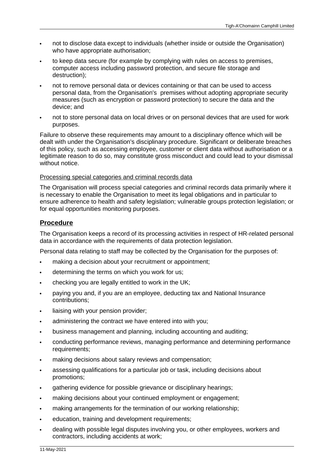- · not to disclose data except to individuals (whether inside or outside the Organisation) who have appropriate authorisation:
- · to keep data secure (for example by complying with rules on access to premises, computer access including password protection, and secure file storage and destruction);
- · not to remove personal data or devices containing or that can be used to access personal data, from the Organisation's premises without adopting appropriate security measures (such as encryption or password protection) to secure the data and the device; and
- · not to store personal data on local drives or on personal devices that are used for work purposes.

Failure to observe these requirements may amount to a disciplinary offence which will be dealt with under the Organisation's disciplinary procedure. Significant or deliberate breaches of this policy, such as accessing employee, customer or client data without authorisation or a legitimate reason to do so, may constitute gross misconduct and could lead to your dismissal without notice.

# Processing special categories and criminal records data

The Organisation will process special categories and criminal records data primarily where it is necessary to enable the Organisation to meet its legal obligations and in particular to ensure adherence to health and safety legislation; vulnerable groups protection legislation; or for equal opportunities monitoring purposes.

# **Procedure**

The Organisation keeps a record of its processing activities in respect of HR-related personal data in accordance with the requirements of data protection legislation.

Personal data relating to staff may be collected by the Organisation for the purposes of:

- · making a decision about your recruitment or appointment;
- determining the terms on which you work for us;
- · checking you are legally entitled to work in the UK;
- · paying you and, if you are an employee, deducting tax and National Insurance contributions;
- · liaising with your pension provider;
- administering the contract we have entered into with you;
- · business management and planning, including accounting and auditing;
- · conducting performance reviews, managing performance and determining performance requirements;
- making decisions about salary reviews and compensation;
- · assessing qualifications for a particular job or task, including decisions about promotions;
- · gathering evidence for possible grievance or disciplinary hearings;
- making decisions about your continued employment or engagement;
- making arrangements for the termination of our working relationship;
- · education, training and development requirements;
- dealing with possible legal disputes involving you, or other employees, workers and contractors, including accidents at work;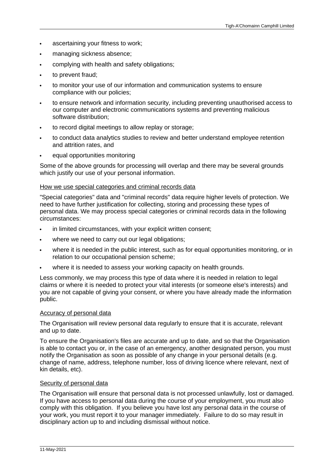- ascertaining your fitness to work;
- managing sickness absence:
- · complying with health and safety obligations;
- · to prevent fraud;
- · to monitor your use of our information and communication systems to ensure compliance with our policies;
- · to ensure network and information security, including preventing unauthorised access to our computer and electronic communications systems and preventing malicious software distribution;
- · to record digital meetings to allow replay or storage;
- · to conduct data analytics studies to review and better understand employee retention and attrition rates, and
- equal opportunities monitoring

Some of the above grounds for processing will overlap and there may be several grounds which justify our use of your personal information.

#### How we use special categories and criminal records data

"Special categories" data and "criminal records" data require higher levels of protection. We need to have further justification for collecting, storing and processing these types of personal data. We may process special categories or criminal records data in the following circumstances:

- in limited circumstances, with your explicit written consent;
- where we need to carry out our legal obligations;
- where it is needed in the public interest, such as for equal opportunities monitoring, or in relation to our occupational pension scheme;
- where it is needed to assess your working capacity on health grounds.

Less commonly, we may process this type of data where it is needed in relation to legal claims or where it is needed to protect your vital interests (or someone else's interests) and you are not capable of giving your consent, or where you have already made the information public.

#### Accuracy of personal data

The Organisation will review personal data regularly to ensure that it is accurate, relevant and up to date.

To ensure the Organisation's files are accurate and up to date, and so that the Organisation is able to contact you or, in the case of an emergency, another designated person, you must notify the Organisation as soon as possible of any change in your personal details (e.g. change of name, address, telephone number, loss of driving licence where relevant, next of kin details, etc).

#### Security of personal data

The Organisation will ensure that personal data is not processed unlawfully, lost or damaged. If you have access to personal data during the course of your employment, you must also comply with this obligation. If you believe you have lost any personal data in the course of your work, you must report it to your manager immediately. Failure to do so may result in disciplinary action up to and including dismissal without notice.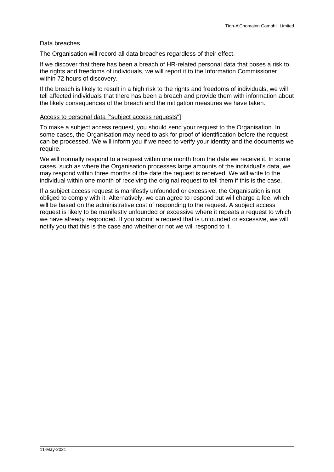# Data breaches

The Organisation will record all data breaches regardless of their effect.

If we discover that there has been a breach of HR-related personal data that poses a risk to the rights and freedoms of individuals, we will report it to the Information Commissioner within 72 hours of discovery.

If the breach is likely to result in a high risk to the rights and freedoms of individuals, we will tell affected individuals that there has been a breach and provide them with information about the likely consequences of the breach and the mitigation measures we have taken.

#### Access to personal data ["subject access requests"]

To make a subject access request, you should send your request to the Organisation. In some cases, the Organisation may need to ask for proof of identification before the request can be processed. We will inform you if we need to verify your identity and the documents we require.

We will normally respond to a request within one month from the date we receive it. In some cases, such as where the Organisation processes large amounts of the individual's data, we may respond within three months of the date the request is received. We will write to the individual within one month of receiving the original request to tell them if this is the case.

If a subject access request is manifestly unfounded or excessive, the Organisation is not obliged to comply with it. Alternatively, we can agree to respond but will charge a fee, which will be based on the administrative cost of responding to the request. A subject access request is likely to be manifestly unfounded or excessive where it repeats a request to which we have already responded. If you submit a request that is unfounded or excessive, we will notify you that this is the case and whether or not we will respond to it.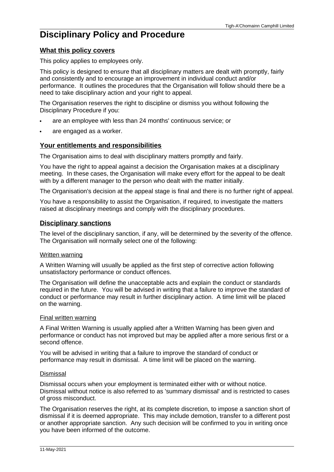# <span id="page-24-0"></span>**Disciplinary Policy and Procedure**

# **What this policy covers**

This policy applies to employees only.

This policy is designed to ensure that all disciplinary matters are dealt with promptly, fairly and consistently and to encourage an improvement in individual conduct and/or performance. It outlines the procedures that the Organisation will follow should there be a need to take disciplinary action and your right to appeal.

The Organisation reserves the right to discipline or dismiss you without following the Disciplinary Procedure if you:

- are an employee with less than 24 months' continuous service; or
- are engaged as a worker.

# **Your entitlements and responsibilities**

The Organisation aims to deal with disciplinary matters promptly and fairly.

You have the right to appeal against a decision the Organisation makes at a disciplinary meeting. In these cases, the Organisation will make every effort for the appeal to be dealt with by a different manager to the person who dealt with the matter initially.

The Organisation's decision at the appeal stage is final and there is no further right of appeal.

You have a responsibility to assist the Organisation, if required, to investigate the matters raised at disciplinary meetings and comply with the disciplinary procedures.

# **Disciplinary sanctions**

The level of the disciplinary sanction, if any, will be determined by the severity of the offence. The Organisation will normally select one of the following:

#### Written warning

A Written Warning will usually be applied as the first step of corrective action following unsatisfactory performance or conduct offences.

The Organisation will define the unacceptable acts and explain the conduct or standards required in the future. You will be advised in writing that a failure to improve the standard of conduct or performance may result in further disciplinary action. A time limit will be placed on the warning.

#### Final written warning

A Final Written Warning is usually applied after a Written Warning has been given and performance or conduct has not improved but may be applied after a more serious first or a second offence.

You will be advised in writing that a failure to improve the standard of conduct or performance may result in dismissal. A time limit will be placed on the warning.

#### Dismissal

Dismissal occurs when your employment is terminated either with or without notice. Dismissal without notice is also referred to as 'summary dismissal' and is restricted to cases of gross misconduct.

The Organisation reserves the right, at its complete discretion, to impose a sanction short of dismissal if it is deemed appropriate. This may include demotion, transfer to a different post or another appropriate sanction. Any such decision will be confirmed to you in writing once you have been informed of the outcome.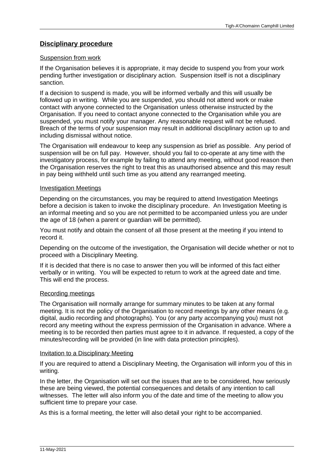# **Disciplinary procedure**

#### Suspension from work

If the Organisation believes it is appropriate, it may decide to suspend you from your work pending further investigation or disciplinary action. Suspension itself is not a disciplinary sanction.

If a decision to suspend is made, you will be informed verbally and this will usually be followed up in writing. While you are suspended, you should not attend work or make contact with anyone connected to the Organisation unless otherwise instructed by the Organisation. If you need to contact anyone connected to the Organisation while you are suspended, you must notify your manager. Any reasonable request will not be refused. Breach of the terms of your suspension may result in additional disciplinary action up to and including dismissal without notice.

The Organisation will endeavour to keep any suspension as brief as possible. Any period of suspension will be on full pay. However, should you fail to co-operate at any time with the investigatory process, for example by failing to attend any meeting, without good reason then the Organisation reserves the right to treat this as unauthorised absence and this may result in pay being withheld until such time as you attend any rearranged meeting.

# Investigation Meetings

Depending on the circumstances, you may be required to attend Investigation Meetings before a decision is taken to invoke the disciplinary procedure. An Investigation Meeting is an informal meeting and so you are not permitted to be accompanied unless you are under the age of 18 (when a parent or guardian will be permitted).

You must notify and obtain the consent of all those present at the meeting if you intend to record it.

Depending on the outcome of the investigation, the Organisation will decide whether or not to proceed with a Disciplinary Meeting.

If it is decided that there is no case to answer then you will be informed of this fact either verbally or in writing. You will be expected to return to work at the agreed date and time. This will end the process.

#### Recording meetings

The Organisation will normally arrange for summary minutes to be taken at any formal meeting. It is not the policy of the Organisation to record meetings by any other means (e.g. digital, audio recording and photographs). You (or any party accompanying you) must not record any meeting without the express permission of the Organisation in advance. Where a meeting is to be recorded then parties must agree to it in advance. If requested, a copy of the minutes/recording will be provided (in line with data protection principles).

# Invitation to a Disciplinary Meeting

If you are required to attend a Disciplinary Meeting, the Organisation will inform you of this in writing.

In the letter, the Organisation will set out the issues that are to be considered, how seriously these are being viewed, the potential consequences and details of any intention to call witnesses. The letter will also inform you of the date and time of the meeting to allow you sufficient time to prepare your case.

As this is a formal meeting, the letter will also detail your right to be accompanied.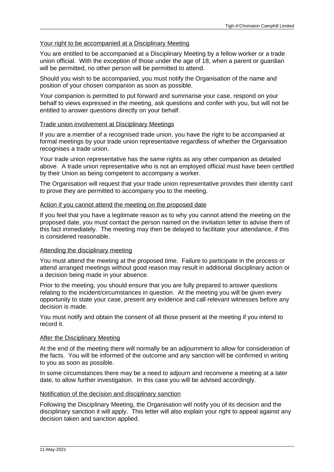# Your right to be accompanied at a Disciplinary Meeting

You are entitled to be accompanied at a Disciplinary Meeting by a fellow worker or a trade union official. With the exception of those under the age of 18, when a parent or guardian will be permitted, no other person will be permitted to attend.

Should you wish to be accompanied, you must notify the Organisation of the name and position of your chosen companion as soon as possible.

Your companion is permitted to put forward and summarise your case, respond on your behalf to views expressed in the meeting, ask questions and confer with you, but will not be entitled to answer questions directly on your behalf.

#### Trade union involvement at Disciplinary Meetings

If you are a member of a recognised trade union, you have the right to be accompanied at formal meetings by your trade union representative regardless of whether the Organisation recognises a trade union.

Your trade union representative has the same rights as any other companion as detailed above. A trade union representative who is not an employed official must have been certified by their Union as being competent to accompany a worker.

The Organisation will request that your trade union representative provides their identity card to prove they are permitted to accompany you to the meeting.

#### Action if you cannot attend the meeting on the proposed date

If you feel that you have a legitimate reason as to why you cannot attend the meeting on the proposed date, you must contact the person named on the invitation letter to advise them of this fact immediately. The meeting may then be delayed to facilitate your attendance, if this is considered reasonable.

#### Attending the disciplinary meeting

You must attend the meeting at the proposed time. Failure to participate in the process or attend arranged meetings without good reason may result in additional disciplinary action or a decision being made in your absence.

Prior to the meeting, you should ensure that you are fully prepared to answer questions relating to the incident/circumstances in question. At the meeting you will be given every opportunity to state your case, present any evidence and call relevant witnesses before any decision is made.

You must notify and obtain the consent of all those present at the meeting if you intend to record it.

#### After the Disciplinary Meeting

At the end of the meeting there will normally be an adjournment to allow for consideration of the facts. You will be informed of the outcome and any sanction will be confirmed in writing to you as soon as possible.

In some circumstances there may be a need to adjourn and reconvene a meeting at a later date, to allow further investigation. In this case you will be advised accordingly.

# Notification of the decision and disciplinary sanction

Following the Disciplinary Meeting, the Organisation will notify you of its decision and the disciplinary sanction it will apply. This letter will also explain your right to appeal against any decision taken and sanction applied.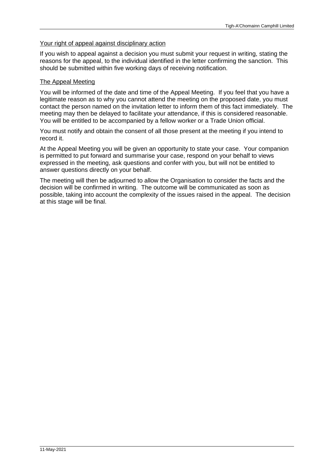# Your right of appeal against disciplinary action

If you wish to appeal against a decision you must submit your request in writing, stating the reasons for the appeal, to the individual identified in the letter confirming the sanction. This should be submitted within five working days of receiving notification.

# The Appeal Meeting

You will be informed of the date and time of the Appeal Meeting. If you feel that you have a legitimate reason as to why you cannot attend the meeting on the proposed date, you must contact the person named on the invitation letter to inform them of this fact immediately. The meeting may then be delayed to facilitate your attendance, if this is considered reasonable. You will be entitled to be accompanied by a fellow worker or a Trade Union official.

You must notify and obtain the consent of all those present at the meeting if you intend to record it.

At the Appeal Meeting you will be given an opportunity to state your case. Your companion is permitted to put forward and summarise your case, respond on your behalf to views expressed in the meeting, ask questions and confer with you, but will not be entitled to answer questions directly on your behalf.

The meeting will then be adjourned to allow the Organisation to consider the facts and the decision will be confirmed in writing. The outcome will be communicated as soon as possible, taking into account the complexity of the issues raised in the appeal. The decision at this stage will be final.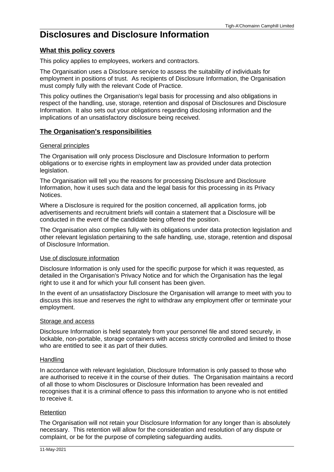# <span id="page-28-0"></span>**Disclosures and Disclosure Information**

# **What this policy covers**

This policy applies to employees, workers and contractors.

The Organisation uses a Disclosure service to assess the suitability of individuals for employment in positions of trust. As recipients of Disclosure Information, the Organisation must comply fully with the relevant Code of Practice.

This policy outlines the Organisation's legal basis for processing and also obligations in respect of the handling, use, storage, retention and disposal of Disclosures and Disclosure Information. It also sets out your obligations regarding disclosing information and the implications of an unsatisfactory disclosure being received.

# **The Organisation's responsibilities**

# General principles

The Organisation will only process Disclosure and Disclosure Information to perform obligations or to exercise rights in employment law as provided under data protection legislation.

The Organisation will tell you the reasons for processing Disclosure and Disclosure Information, how it uses such data and the legal basis for this processing in its Privacy Notices.

Where a Disclosure is required for the position concerned, all application forms, job advertisements and recruitment briefs will contain a statement that a Disclosure will be conducted in the event of the candidate being offered the position.

The Organisation also complies fully with its obligations under data protection legislation and other relevant legislation pertaining to the safe handling, use, storage, retention and disposal of Disclosure Information.

# Use of disclosure information

Disclosure Information is only used for the specific purpose for which it was requested, as detailed in the Organisation's Privacy Notice and for which the Organisation has the legal right to use it and for which your full consent has been given.

In the event of an unsatisfactory Disclosure the Organisation will arrange to meet with you to discuss this issue and reserves the right to withdraw any employment offer or terminate your employment.

# Storage and access

Disclosure Information is held separately from your personnel file and stored securely, in lockable, non-portable, storage containers with access strictly controlled and limited to those who are entitled to see it as part of their duties.

# Handling

In accordance with relevant legislation, Disclosure Information is only passed to those who are authorised to receive it in the course of their duties. The Organisation maintains a record of all those to whom Disclosures or Disclosure Information has been revealed and recognises that it is a criminal offence to pass this information to anyone who is not entitled to receive it.

# Retention

The Organisation will not retain your Disclosure Information for any longer than is absolutely necessary. This retention will allow for the consideration and resolution of any dispute or complaint, or be for the purpose of completing safeguarding audits.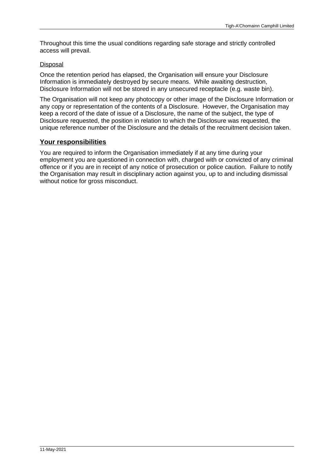Throughout this time the usual conditions regarding safe storage and strictly controlled access will prevail.

#### Disposal

Once the retention period has elapsed, the Organisation will ensure your Disclosure Information is immediately destroyed by secure means. While awaiting destruction, Disclosure Information will not be stored in any unsecured receptacle (e.g. waste bin).

The Organisation will not keep any photocopy or other image of the Disclosure Information or any copy or representation of the contents of a Disclosure. However, the Organisation may keep a record of the date of issue of a Disclosure, the name of the subject, the type of Disclosure requested, the position in relation to which the Disclosure was requested, the unique reference number of the Disclosure and the details of the recruitment decision taken.

# **Your responsibilities**

You are required to inform the Organisation immediately if at any time during your employment you are questioned in connection with, charged with or convicted of any criminal offence or if you are in receipt of any notice of prosecution or police caution. Failure to notify the Organisation may result in disciplinary action against you, up to and including dismissal without notice for gross misconduct.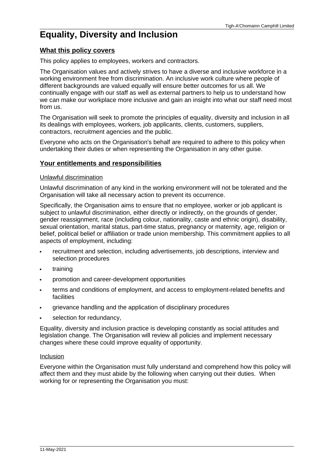# <span id="page-30-0"></span>**Equality, Diversity and Inclusion**

# **What this policy covers**

This policy applies to employees, workers and contractors.

The Organisation values and actively strives to have a diverse and inclusive workforce in a working environment free from discrimination. An inclusive work culture where people of different backgrounds are valued equally will ensure better outcomes for us all. We continually engage with our staff as well as external partners to help us to understand how we can make our workplace more inclusive and gain an insight into what our staff need most from us.

The Organisation will seek to promote the principles of equality, diversity and inclusion in all its dealings with employees, workers, job applicants, clients, customers, suppliers, contractors, recruitment agencies and the public.

Everyone who acts on the Organisation's behalf are required to adhere to this policy when undertaking their duties or when representing the Organisation in any other guise.

# **Your entitlements and responsibilities**

#### Unlawful discrimination

Unlawful discrimination of any kind in the working environment will not be tolerated and the Organisation will take all necessary action to prevent its occurrence.

Specifically, the Organisation aims to ensure that no employee, worker or job applicant is subject to unlawful discrimination, either directly or indirectly, on the grounds of gender, gender reassignment, race (including colour, nationality, caste and ethnic origin), disability, sexual orientation, marital status, part-time status, pregnancy or maternity, age, religion or belief, political belief or affiliation or trade union membership. This commitment applies to all aspects of employment, including:

- · recruitment and selection, including advertisements, job descriptions, interview and selection procedures
- · training
- · promotion and career-development opportunities
- terms and conditions of employment, and access to employment-related benefits and facilities
- · grievance handling and the application of disciplinary procedures
- selection for redundancy.

Equality, diversity and inclusion practice is developing constantly as social attitudes and legislation change. The Organisation will review all policies and implement necessary changes where these could improve equality of opportunity.

#### Inclusion

Everyone within the Organisation must fully understand and comprehend how this policy will affect them and they must abide by the following when carrying out their duties. When working for or representing the Organisation you must: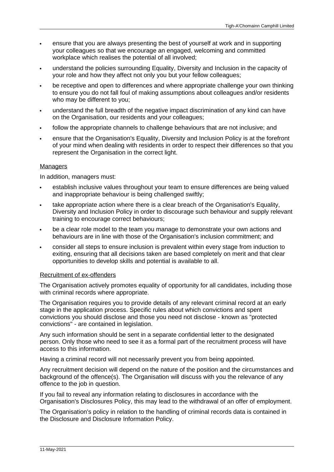- ensure that you are always presenting the best of yourself at work and in supporting your colleagues so that we encourage an engaged, welcoming and committed workplace which realises the potential of all involved;
- understand the policies surrounding Equality, Diversity and Inclusion in the capacity of your role and how they affect not only you but your fellow colleagues;
- be receptive and open to differences and where appropriate challenge your own thinking to ensure you do not fall foul of making assumptions about colleagues and/or residents who may be different to you;
- · understand the full breadth of the negative impact discrimination of any kind can have on the Organisation, our residents and your colleagues;
- follow the appropriate channels to challenge behaviours that are not inclusive; and
- ensure that the Organisation's Equality, Diversity and Inclusion Policy is at the forefront of your mind when dealing with residents in order to respect their differences so that you represent the Organisation in the correct light.

# Managers

In addition, managers must:

- establish inclusive values throughout your team to ensure differences are being valued and inappropriate behaviour is being challenged swiftly;
- take appropriate action where there is a clear breach of the Organisation's Equality, Diversity and Inclusion Policy in order to discourage such behaviour and supply relevant training to encourage correct behaviours;
- be a clear role model to the team you manage to demonstrate your own actions and behaviours are in line with those of the Organisation's inclusion commitment; and
- · consider all steps to ensure inclusion is prevalent within every stage from induction to exiting, ensuring that all decisions taken are based completely on merit and that clear opportunities to develop skills and potential is available to all.

#### Recruitment of ex-offenders

The Organisation actively promotes equality of opportunity for all candidates, including those with criminal records where appropriate.

The Organisation requires you to provide details of any relevant criminal record at an early stage in the application process. Specific rules about which convictions and spent convictions you should disclose and those you need not disclose - known as "protected convictions" - are contained in legislation.

Any such information should be sent in a separate confidential letter to the designated person. Only those who need to see it as a formal part of the recruitment process will have access to this information.

Having a criminal record will not necessarily prevent you from being appointed.

Any recruitment decision will depend on the nature of the position and the circumstances and background of the offence(s). The Organisation will discuss with you the relevance of any offence to the job in question.

If you fail to reveal any information relating to disclosures in accordance with the Organisation's Disclosures Policy, this may lead to the withdrawal of an offer of employment.

The Organisation's policy in relation to the handling of criminal records data is contained in the Disclosure and Disclosure Information Policy.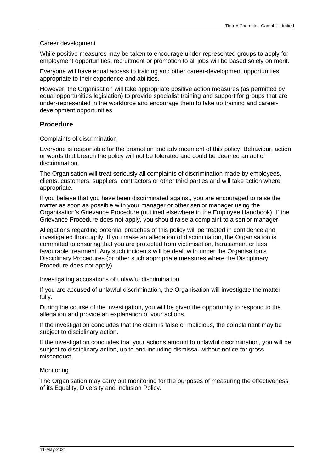# Career development

While positive measures may be taken to encourage under-represented groups to apply for employment opportunities, recruitment or promotion to all jobs will be based solely on merit.

Everyone will have equal access to training and other career-development opportunities appropriate to their experience and abilities.

However, the Organisation will take appropriate positive action measures (as permitted by equal opportunities legislation) to provide specialist training and support for groups that are under-represented in the workforce and encourage them to take up training and careerdevelopment opportunities.

# **Procedure**

#### Complaints of discrimination

Everyone is responsible for the promotion and advancement of this policy. Behaviour, action or words that breach the policy will not be tolerated and could be deemed an act of discrimination.

The Organisation will treat seriously all complaints of discrimination made by employees, clients, customers, suppliers, contractors or other third parties and will take action where appropriate.

If you believe that you have been discriminated against, you are encouraged to raise the matter as soon as possible with your manager or other senior manager using the Organisation's Grievance Procedure (outlined elsewhere in the Employee Handbook). If the Grievance Procedure does not apply, you should raise a complaint to a senior manager.

Allegations regarding potential breaches of this policy will be treated in confidence and investigated thoroughly. If you make an allegation of discrimination, the Organisation is committed to ensuring that you are protected from victimisation, harassment or less favourable treatment. Any such incidents will be dealt with under the Organisation's Disciplinary Procedures (or other such appropriate measures where the Disciplinary Procedure does not apply).

#### Investigating accusations of unlawful discrimination

If you are accused of unlawful discrimination, the Organisation will investigate the matter fully.

During the course of the investigation, you will be given the opportunity to respond to the allegation and provide an explanation of your actions.

If the investigation concludes that the claim is false or malicious, the complainant may be subject to disciplinary action.

If the investigation concludes that your actions amount to unlawful discrimination, you will be subject to disciplinary action, up to and including dismissal without notice for gross misconduct.

# **Monitoring**

The Organisation may carry out monitoring for the purposes of measuring the effectiveness of its Equality, Diversity and Inclusion Policy.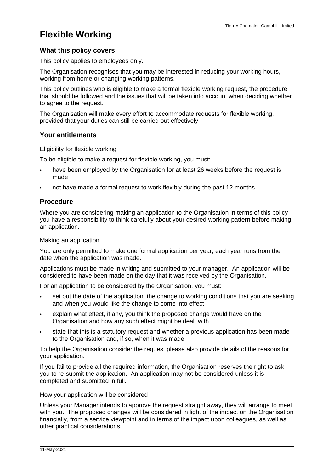# <span id="page-33-0"></span>**Flexible Working**

#### **What this policy covers**

This policy applies to employees only.

The Organisation recognises that you may be interested in reducing your working hours, working from home or changing working patterns.

This policy outlines who is eligible to make a formal flexible working request, the procedure that should be followed and the issues that will be taken into account when deciding whether to agree to the request.

The Organisation will make every effort to accommodate requests for flexible working, provided that your duties can still be carried out effectively.

# **Your entitlements**

#### Eligibility for flexible working

To be eligible to make a request for flexible working, you must:

- have been employed by the Organisation for at least 26 weeks before the request is made
- not have made a formal request to work flexibly during the past 12 months

# **Procedure**

Where you are considering making an application to the Organisation in terms of this policy you have a responsibility to think carefully about your desired working pattern before making an application.

#### Making an application

You are only permitted to make one formal application per year; each year runs from the date when the application was made.

Applications must be made in writing and submitted to your manager. An application will be considered to have been made on the day that it was received by the Organisation.

For an application to be considered by the Organisation, you must:

- set out the date of the application, the change to working conditions that you are seeking and when you would like the change to come into effect
- explain what effect, if any, you think the proposed change would have on the Organisation and how any such effect might be dealt with
- · state that this is a statutory request and whether a previous application has been made to the Organisation and, if so, when it was made

To help the Organisation consider the request please also provide details of the reasons for your application.

If you fail to provide all the required information, the Organisation reserves the right to ask you to re-submit the application. An application may not be considered unless it is completed and submitted in full.

#### How your application will be considered

Unless your Manager intends to approve the request straight away, they will arrange to meet with you. The proposed changes will be considered in light of the impact on the Organisation financially, from a service viewpoint and in terms of the impact upon colleagues, as well as other practical considerations.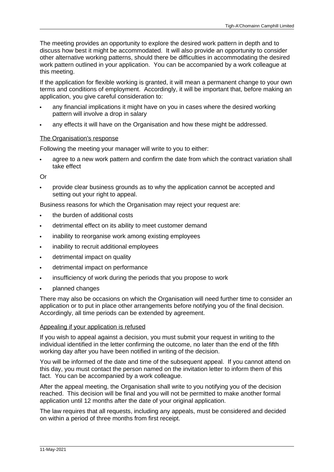The meeting provides an opportunity to explore the desired work pattern in depth and to discuss how best it might be accommodated. It will also provide an opportunity to consider other alternative working patterns, should there be difficulties in accommodating the desired work pattern outlined in your application. You can be accompanied by a work colleague at this meeting.

If the application for flexible working is granted, it will mean a permanent change to your own terms and conditions of employment. Accordingly, it will be important that, before making an application, you give careful consideration to:

- any financial implications it might have on you in cases where the desired working pattern will involve a drop in salary
- any effects it will have on the Organisation and how these might be addressed.

# The Organisation's response

Following the meeting your manager will write to you to either:

agree to a new work pattern and confirm the date from which the contract variation shall take effect

Or

· provide clear business grounds as to why the application cannot be accepted and setting out your right to appeal.

Business reasons for which the Organisation may reject your request are:

- the burden of additional costs
- · detrimental effect on its ability to meet customer demand
- · inability to reorganise work among existing employees
- inability to recruit additional employees
- · detrimental impact on quality
- detrimental impact on performance
- insufficiency of work during the periods that you propose to work
- planned changes

There may also be occasions on which the Organisation will need further time to consider an application or to put in place other arrangements before notifying you of the final decision. Accordingly, all time periods can be extended by agreement.

#### Appealing if your application is refused

If you wish to appeal against a decision, you must submit your request in writing to the individual identified in the letter confirming the outcome, no later than the end of the fifth working day after you have been notified in writing of the decision.

You will be informed of the date and time of the subsequent appeal. If you cannot attend on this day, you must contact the person named on the invitation letter to inform them of this fact. You can be accompanied by a work colleague.

After the appeal meeting, the Organisation shall write to you notifying you of the decision reached. This decision will be final and you will not be permitted to make another formal application until 12 months after the date of your original application.

The law requires that all requests, including any appeals, must be considered and decided on within a period of three months from first receipt.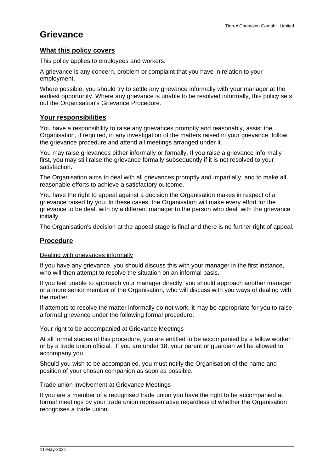# <span id="page-35-0"></span>**Grievance**

# **What this policy covers**

This policy applies to employees and workers.

A grievance is any concern, problem or complaint that you have in relation to your employment.

Where possible, you should try to settle any grievance informally with your manager at the earliest opportunity. Where any grievance is unable to be resolved informally, this policy sets out the Organisation's Grievance Procedure.

# **Your responsibilities**

You have a responsibility to raise any grievances promptly and reasonably, assist the Organisation, if required, in any investigation of the matters raised in your grievance, follow the grievance procedure and attend all meetings arranged under it.

You may raise grievances either informally or formally. If you raise a grievance informally first, you may still raise the grievance formally subsequently if it is not resolved to your satisfaction.

The Organisation aims to deal with all grievances promptly and impartially, and to make all reasonable efforts to achieve a satisfactory outcome.

You have the right to appeal against a decision the Organisation makes in respect of a grievance raised by you. In these cases, the Organisation will make every effort for the grievance to be dealt with by a different manager to the person who dealt with the grievance initially.

The Organisation's decision at the appeal stage is final and there is no further right of appeal.

# **Procedure**

# Dealing with grievances informally

If you have any grievance, you should discuss this with your manager in the first instance, who will then attempt to resolve the situation on an informal basis.

If you feel unable to approach your manager directly, you should approach another manager or a more senior member of the Organisation, who will discuss with you ways of dealing with the matter.

If attempts to resolve the matter informally do not work, it may be appropriate for you to raise a formal grievance under the following formal procedure.

# Your right to be accompanied at Grievance Meetings

At all formal stages of this procedure, you are entitled to be accompanied by a fellow worker or by a trade union official. If you are under 18, your parent or guardian will be allowed to accompany you.

Should you wish to be accompanied, you must notify the Organisation of the name and position of your chosen companion as soon as possible.

# Trade union involvement at Grievance Meetings

If you are a member of a recognised trade union you have the right to be accompanied at formal meetings by your trade union representative regardless of whether the Organisation recognises a trade union.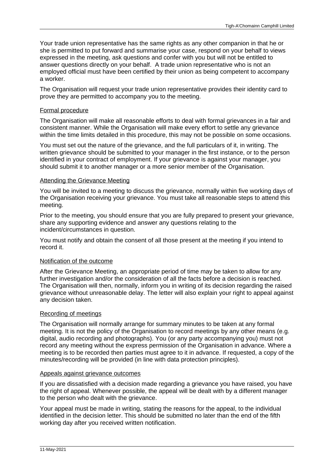Your trade union representative has the same rights as any other companion in that he or she is permitted to put forward and summarise your case, respond on your behalf to views expressed in the meeting, ask questions and confer with you but will not be entitled to answer questions directly on your behalf. A trade union representative who is not an employed official must have been certified by their union as being competent to accompany a worker.

The Organisation will request your trade union representative provides their identity card to prove they are permitted to accompany you to the meeting.

## Formal procedure

The Organisation will make all reasonable efforts to deal with formal grievances in a fair and consistent manner. While the Organisation will make every effort to settle any grievance within the time limits detailed in this procedure, this may not be possible on some occasions.

You must set out the nature of the grievance, and the full particulars of it, in writing. The written grievance should be submitted to your manager in the first instance, or to the person identified in your contract of employment. If your grievance is against your manager, you should submit it to another manager or a more senior member of the Organisation.

### Attending the Grievance Meeting

You will be invited to a meeting to discuss the grievance, normally within five working days of the Organisation receiving your grievance. You must take all reasonable steps to attend this meeting.

Prior to the meeting, you should ensure that you are fully prepared to present your grievance, share any supporting evidence and answer any questions relating to the incident/circumstances in question.

You must notify and obtain the consent of all those present at the meeting if you intend to record it.

### Notification of the outcome

After the Grievance Meeting, an appropriate period of time may be taken to allow for any further investigation and/or the consideration of all the facts before a decision is reached. The Organisation will then, normally, inform you in writing of its decision regarding the raised grievance without unreasonable delay. The letter will also explain your right to appeal against any decision taken.

### Recording of meetings

The Organisation will normally arrange for summary minutes to be taken at any formal meeting. It is not the policy of the Organisation to record meetings by any other means (e.g. digital, audio recording and photographs). You (or any party accompanying you) must not record any meeting without the express permission of the Organisation in advance. Where a meeting is to be recorded then parties must agree to it in advance. If requested, a copy of the minutes/recording will be provided (in line with data protection principles).

## Appeals against grievance outcomes

If you are dissatisfied with a decision made regarding a grievance you have raised, you have the right of appeal. Whenever possible, the appeal will be dealt with by a different manager to the person who dealt with the grievance.

Your appeal must be made in writing, stating the reasons for the appeal, to the individual identified in the decision letter. This should be submitted no later than the end of the fifth working day after you received written notification.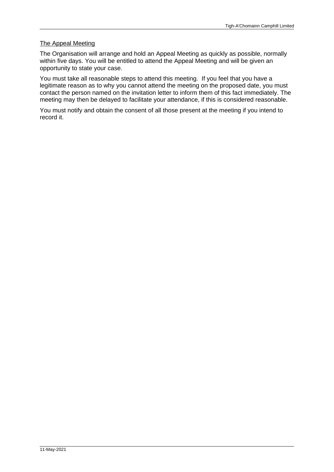# The Appeal Meeting

The Organisation will arrange and hold an Appeal Meeting as quickly as possible, normally within five days. You will be entitled to attend the Appeal Meeting and will be given an opportunity to state your case.

You must take all reasonable steps to attend this meeting. If you feel that you have a legitimate reason as to why you cannot attend the meeting on the proposed date, you must contact the person named on the invitation letter to inform them of this fact immediately. The meeting may then be delayed to facilitate your attendance, if this is considered reasonable.

You must notify and obtain the consent of all those present at the meeting if you intend to record it.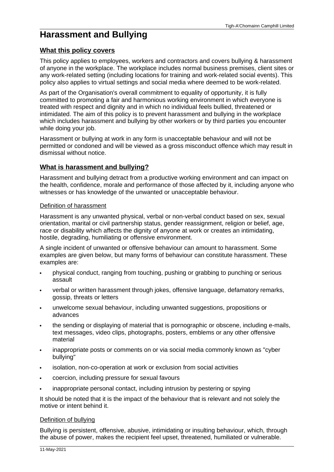## **What this policy covers**

This policy applies to employees, workers and contractors and covers bullying & harassment of anyone in the workplace. The workplace includes normal business premises, client sites or any work-related setting (including locations for training and work-related social events). This policy also applies to virtual settings and social media where deemed to be work-related.

As part of the Organisation's overall commitment to equality of opportunity, it is fully committed to promoting a fair and harmonious working environment in which everyone is treated with respect and dignity and in which no individual feels bullied, threatened or intimidated. The aim of this policy is to prevent harassment and bullying in the workplace which includes harassment and bullying by other workers or by third parties you encounter while doing your job.

Harassment or bullying at work in any form is unacceptable behaviour and will not be permitted or condoned and will be viewed as a gross misconduct offence which may result in dismissal without notice.

## **What is harassment and bullying?**

Harassment and bullying detract from a productive working environment and can impact on the health, confidence, morale and performance of those affected by it, including anyone who witnesses or has knowledge of the unwanted or unacceptable behaviour.

#### Definition of harassment

Harassment is any unwanted physical, verbal or non-verbal conduct based on sex, sexual orientation, marital or civil partnership status, gender reassignment, religion or belief, age, race or disability which affects the dignity of anyone at work or creates an intimidating. hostile, degrading, humiliating or offensive environment.

A single incident of unwanted or offensive behaviour can amount to harassment. Some examples are given below, but many forms of behaviour can constitute harassment. These examples are:

- physical conduct, ranging from touching, pushing or grabbing to punching or serious assault
- · verbal or written harassment through jokes, offensive language, defamatory remarks, gossip, threats or letters
- · unwelcome sexual behaviour, including unwanted suggestions, propositions or advances
- the sending or displaying of material that is pornographic or obscene, including e-mails, text messages, video clips, photographs, posters, emblems or any other offensive material
- · inappropriate posts or comments on or via social media commonly known as "cyber bullying"
- isolation, non-co-operation at work or exclusion from social activities
- · coercion, including pressure for sexual favours
- · inappropriate personal contact, including intrusion by pestering or spying

It should be noted that it is the impact of the behaviour that is relevant and not solely the motive or intent behind it.

### Definition of bullying

Bullying is persistent, offensive, abusive, intimidating or insulting behaviour, which, through the abuse of power, makes the recipient feel upset, threatened, humiliated or vulnerable.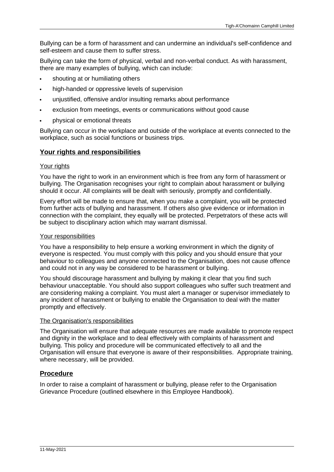Bullying can be a form of harassment and can undermine an individual's self-confidence and self-esteem and cause them to suffer stress.

Bullying can take the form of physical, verbal and non-verbal conduct. As with harassment, there are many examples of bullying, which can include:

- shouting at or humiliating others
- high-handed or oppressive levels of supervision
- unjustified, offensive and/or insulting remarks about performance
- exclusion from meetings, events or communications without good cause
- · physical or emotional threats

Bullying can occur in the workplace and outside of the workplace at events connected to the workplace, such as social functions or business trips.

# **Your rights and responsibilities**

## Your rights

You have the right to work in an environment which is free from any form of harassment or bullying. The Organisation recognises your right to complain about harassment or bullying should it occur. All complaints will be dealt with seriously, promptly and confidentially.

Every effort will be made to ensure that, when you make a complaint, you will be protected from further acts of bullying and harassment. If others also give evidence or information in connection with the complaint, they equally will be protected. Perpetrators of these acts will be subject to disciplinary action which may warrant dismissal.

## Your responsibilities

You have a responsibility to help ensure a working environment in which the dignity of everyone is respected. You must comply with this policy and you should ensure that your behaviour to colleagues and anyone connected to the Organisation, does not cause offence and could not in any way be considered to be harassment or bullying.

You should discourage harassment and bullying by making it clear that you find such behaviour unacceptable. You should also support colleagues who suffer such treatment and are considering making a complaint. You must alert a manager or supervisor immediately to any incident of harassment or bullying to enable the Organisation to deal with the matter promptly and effectively.

## The Organisation's responsibilities

The Organisation will ensure that adequate resources are made available to promote respect and dignity in the workplace and to deal effectively with complaints of harassment and bullying. This policy and procedure will be communicated effectively to all and the Organisation will ensure that everyone is aware of their responsibilities. Appropriate training, where necessary, will be provided.

## **Procedure**

In order to raise a complaint of harassment or bullying, please refer to the Organisation Grievance Procedure (outlined elsewhere in this Employee Handbook).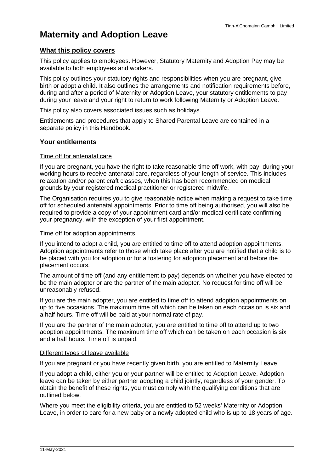# **Maternity and Adoption Leave**

# **What this policy covers**

This policy applies to employees. However, Statutory Maternity and Adoption Pay may be available to both employees and workers.

This policy outlines your statutory rights and responsibilities when you are pregnant. give birth or adopt a child. It also outlines the arrangements and notification requirements before, during and after a period of Maternity or Adoption Leave, your statutory entitlements to pay during your leave and your right to return to work following Maternity or Adoption Leave.

This policy also covers associated issues such as holidays.

Entitlements and procedures that apply to Shared Parental Leave are contained in a separate policy in this Handbook.

# **Your entitlements**

# Time off for antenatal care

If you are pregnant, you have the right to take reasonable time off work, with pay, during your working hours to receive antenatal care, regardless of your length of service. This includes relaxation and/or parent craft classes, when this has been recommended on medical grounds by your registered medical practitioner or registered midwife.

The Organisation requires you to give reasonable notice when making a request to take time off for scheduled antenatal appointments. Prior to time off being authorised, you will also be required to provide a copy of your appointment card and/or medical certificate confirming your pregnancy, with the exception of your first appointment.

## Time off for adoption appointments

If you intend to adopt a child, you are entitled to time off to attend adoption appointments. Adoption appointments refer to those which take place after you are notified that a child is to be placed with you for adoption or for a fostering for adoption placement and before the placement occurs.

The amount of time off (and any entitlement to pay) depends on whether you have elected to be the main adopter or are the partner of the main adopter. No request for time off will be unreasonably refused.

If you are the main adopter, you are entitled to time off to attend adoption appointments on up to five occasions. The maximum time off which can be taken on each occasion is six and a half hours. Time off will be paid at your normal rate of pay.

If you are the partner of the main adopter, you are entitled to time off to attend up to two adoption appointments. The maximum time off which can be taken on each occasion is six and a half hours. Time off is unpaid.

### Different types of leave available

If you are pregnant or you have recently given birth, you are entitled to Maternity Leave.

If you adopt a child, either you or your partner will be entitled to Adoption Leave. Adoption leave can be taken by either partner adopting a child jointly, regardless of your gender. To obtain the benefit of these rights, you must comply with the qualifying conditions that are outlined below.

Where you meet the eligibility criteria, you are entitled to 52 weeks' Maternity or Adoption Leave, in order to care for a new baby or a newly adopted child who is up to 18 years of age.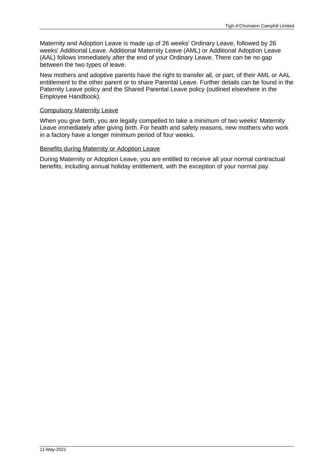Maternity and Adoption Leave is made up of 26 weeks' Ordinary Leave, followed by 26 weeks' Additional Leave. Additional Maternity Leave (AML) or Additional Adoption Leave (AAL) follows immediately after the end of your Ordinary Leave. There can be no gap between the two types of leave.

New mothers and adoptive parents have the right to transfer all, or part, of their AML or AAL entitlement to the other parent or to share Parental Leave. Further details can be found in the Paternity Leave policy and the Shared Parental Leave policy (outlined elsewhere in the Employee Handbook).

## Compulsory Maternity Leave

When you give birth, you are legally compelled to take a minimum of two weeks' Maternity Leave immediately after giving birth. For health and safety reasons, new mothers who work in a factory have a longer minimum period of four weeks.

## Benefits during Maternity or Adoption Leave

During Maternity or Adoption Leave, you are entitled to receive all your normal contractual benefits, including annual holiday entitlement, with the exception of your normal pay.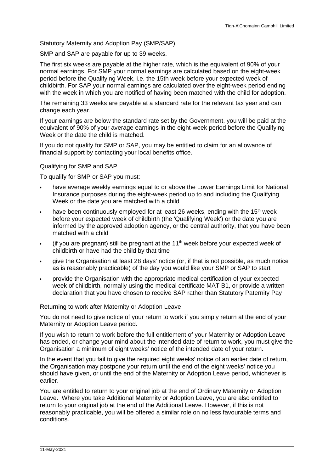## Statutory Maternity and Adoption Pay (SMP/SAP)

SMP and SAP are payable for up to 39 weeks.

The first six weeks are payable at the higher rate, which is the equivalent of 90% of your normal earnings. For SMP your normal earnings are calculated based on the eight-week period before the Qualifying Week, i.e. the 15th week before your expected week of childbirth. For SAP your normal earnings are calculated over the eight-week period ending with the week in which you are notified of having been matched with the child for adoption.

The remaining 33 weeks are payable at a standard rate for the relevant tax year and can change each year.

If your earnings are below the standard rate set by the Government, you will be paid at the equivalent of 90% of your average earnings in the eight-week period before the Qualifying Week or the date the child is matched.

If you do not qualify for SMP or SAP, you may be entitled to claim for an allowance of financial support by contacting your local benefits office.

## Qualifying for SMP and SAP

To qualify for SMP or SAP you must:

- have average weekly earnings equal to or above the Lower Earnings Limit for National Insurance purposes during the eight-week period up to and including the Qualifying Week or the date you are matched with a child
- have been continuously employed for at least 26 weeks, ending with the  $15<sup>th</sup>$  week before your expected week of childbirth (the 'Qualifying Week') or the date you are informed by the approved adoption agency, or the central authority, that you have been matched with a child
- (if you are pregnant) still be pregnant at the  $11<sup>th</sup>$  week before your expected week of childbirth or have had the child by that time
- · give the Organisation at least 28 days' notice (or, if that is not possible, as much notice as is reasonably practicable) of the day you would like your SMP or SAP to start
- · provide the Organisation with the appropriate medical certification of your expected week of childbirth, normally using the medical certificate MAT B1, or provide a written declaration that you have chosen to receive SAP rather than Statutory Paternity Pay

## Returning to work after Maternity or Adoption Leave

You do not need to give notice of your return to work if you simply return at the end of your Maternity or Adoption Leave period.

If you wish to return to work before the full entitlement of your Maternity or Adoption Leave has ended, or change your mind about the intended date of return to work, you must give the Organisation a minimum of eight weeks' notice of the intended date of your return.

In the event that you fail to give the required eight weeks' notice of an earlier date of return, the Organisation may postpone your return until the end of the eight weeks' notice you should have given, or until the end of the Maternity or Adoption Leave period, whichever is earlier.

You are entitled to return to your original job at the end of Ordinary Maternity or Adoption Leave. Where you take Additional Maternity or Adoption Leave, you are also entitled to return to your original job at the end of the Additional Leave. However, if this is not reasonably practicable, you will be offered a similar role on no less favourable terms and conditions.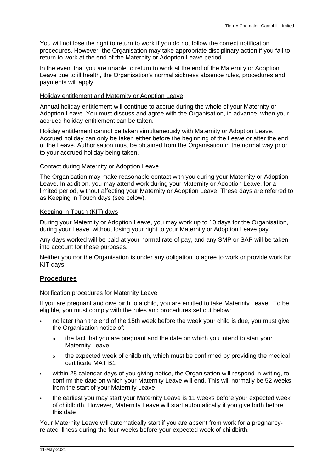You will not lose the right to return to work if you do not follow the correct notification procedures. However, the Organisation may take appropriate disciplinary action if you fail to return to work at the end of the Maternity or Adoption Leave period.

In the event that you are unable to return to work at the end of the Maternity or Adoption Leave due to ill health, the Organisation's normal sickness absence rules, procedures and payments will apply.

## Holiday entitlement and Maternity or Adoption Leave

Annual holiday entitlement will continue to accrue during the whole of your Maternity or Adoption Leave. You must discuss and agree with the Organisation, in advance, when your accrued holiday entitlement can be taken.

Holiday entitlement cannot be taken simultaneously with Maternity or Adoption Leave. Accrued holiday can only be taken either before the beginning of the Leave or after the end of the Leave. Authorisation must be obtained from the Organisation in the normal way prior to your accrued holiday being taken.

## Contact during Maternity or Adoption Leave

The Organisation may make reasonable contact with you during your Maternity or Adoption Leave. In addition, you may attend work during your Maternity or Adoption Leave, for a limited period, without affecting your Maternity or Adoption Leave. These days are referred to as Keeping in Touch days (see below).

## Keeping in Touch (KIT) days

During your Maternity or Adoption Leave, you may work up to 10 days for the Organisation, during your Leave, without losing your right to your Maternity or Adoption Leave pay.

Any days worked will be paid at your normal rate of pay, and any SMP or SAP will be taken into account for these purposes.

Neither you nor the Organisation is under any obligation to agree to work or provide work for KIT days.

# **Procedures**

### Notification procedures for Maternity Leave

If you are pregnant and give birth to a child, you are entitled to take Maternity Leave. To be eligible, you must comply with the rules and procedures set out below:

- · no later than the end of the 15th week before the week your child is due, you must give the Organisation notice of:
	- o the fact that you are pregnant and the date on which you intend to start your Maternity Leave
	- o the expected week of childbirth, which must be confirmed by providing the medical certificate MAT B1
- · within 28 calendar days of you giving notice, the Organisation will respond in writing, to confirm the date on which your Maternity Leave will end. This will normally be 52 weeks from the start of your Maternity Leave
- the earliest you may start your Maternity Leave is 11 weeks before your expected week of childbirth. However, Maternity Leave will start automatically if you give birth before this date

Your Maternity Leave will automatically start if you are absent from work for a pregnancyrelated illness during the four weeks before your expected week of childbirth.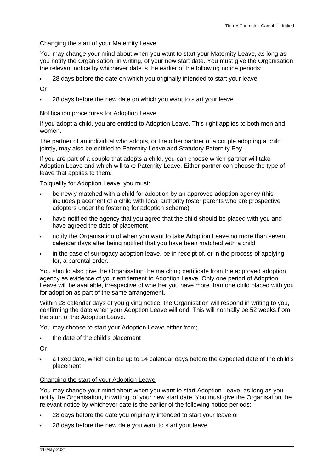# Changing the start of your Maternity Leave

You may change your mind about when you want to start your Maternity Leave, as long as you notify the Organisation, in writing, of your new start date. You must give the Organisation the relevant notice by whichever date is the earlier of the following notice periods:

· 28 days before the date on which you originally intended to start your leave

Or

28 days before the new date on which you want to start your leave

## Notification procedures for Adoption Leave

If you adopt a child, you are entitled to Adoption Leave. This right applies to both men and women.

The partner of an individual who adopts, or the other partner of a couple adopting a child jointly, may also be entitled to Paternity Leave and Statutory Paternity Pay.

If you are part of a couple that adopts a child, you can choose which partner will take Adoption Leave and which will take Paternity Leave. Either partner can choose the type of leave that applies to them.

To qualify for Adoption Leave, you must:

- be newly matched with a child for adoption by an approved adoption agency (this includes placement of a child with local authority foster parents who are prospective adopters under the fostering for adoption scheme)
- have notified the agency that you agree that the child should be placed with you and have agreed the date of placement
- notify the Organisation of when you want to take Adoption Leave no more than seven calendar days after being notified that you have been matched with a child
- in the case of surrogacy adoption leave, be in receipt of, or in the process of applying for, a parental order.

You should also give the Organisation the matching certificate from the approved adoption agency as evidence of your entitlement to Adoption Leave. Only one period of Adoption Leave will be available, irrespective of whether you have more than one child placed with you for adoption as part of the same arrangement.

Within 28 calendar days of you giving notice, the Organisation will respond in writing to you, confirming the date when your Adoption Leave will end. This will normally be 52 weeks from the start of the Adoption Leave.

You may choose to start your Adoption Leave either from;

· the date of the child's placement

Or

· a fixed date, which can be up to 14 calendar days before the expected date of the child's placement

## Changing the start of your Adoption Leave

You may change your mind about when you want to start Adoption Leave, as long as you notify the Organisation, in writing, of your new start date. You must give the Organisation the relevant notice by whichever date is the earlier of the following notice periods;

- · 28 days before the date you originally intended to start your leave or
- · 28 days before the new date you want to start your leave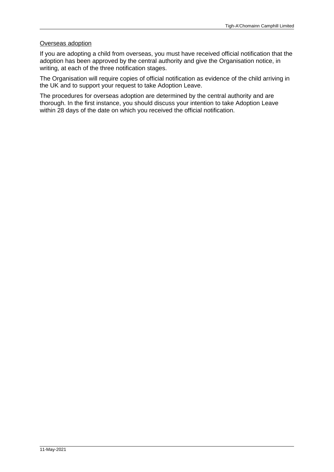## Overseas adoption

If you are adopting a child from overseas, you must have received official notification that the adoption has been approved by the central authority and give the Organisation notice, in writing, at each of the three notification stages.

The Organisation will require copies of official notification as evidence of the child arriving in the UK and to support your request to take Adoption Leave.

The procedures for overseas adoption are determined by the central authority and are thorough. In the first instance, you should discuss your intention to take Adoption Leave within 28 days of the date on which you received the official notification.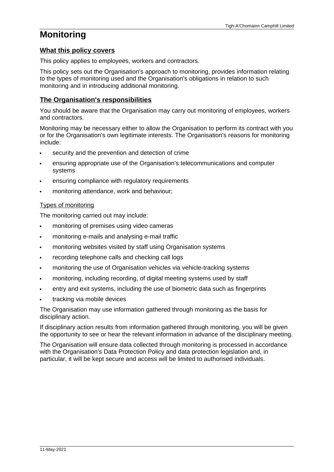# **Monitoring**

# **What this policy covers**

This policy applies to employees, workers and contractors.

This policy sets out the Organisation's approach to monitoring, provides information relating to the types of monitoring used and the Organisation's obligations in relation to such monitoring and in introducing additional monitoring.

# **The Organisation's responsibilities**

You should be aware that the Organisation may carry out monitoring of employees, workers and contractors.

Monitoring may be necessary either to allow the Organisation to perform its contract with you or for the Organisation's own legitimate interests. The Organisation's reasons for monitoring include:

- security and the prevention and detection of crime
- · ensuring appropriate use of the Organisation's telecommunications and computer systems
- ensuring compliance with regulatory requirements
- · monitoring attendance, work and behaviour;

# Types of monitoring

The monitoring carried out may include:

- · monitoring of premises using video cameras
- · monitoring e-mails and analysing e-mail traffic
- monitoring websites visited by staff using Organisation systems
- · recording telephone calls and checking call logs
- · monitoring the use of Organisation vehicles via vehicle-tracking systems
- monitoring, including recording, of digital meeting systems used by staff
- · entry and exit systems, including the use of biometric data such as fingerprints
- tracking via mobile devices

The Organisation may use information gathered through monitoring as the basis for disciplinary action.

If disciplinary action results from information gathered through monitoring, you will be given the opportunity to see or hear the relevant information in advance of the disciplinary meeting.

The Organisation will ensure data collected through monitoring is processed in accordance with the Organisation's Data Protection Policy and data protection legislation and, in particular, it will be kept secure and access will be limited to authorised individuals.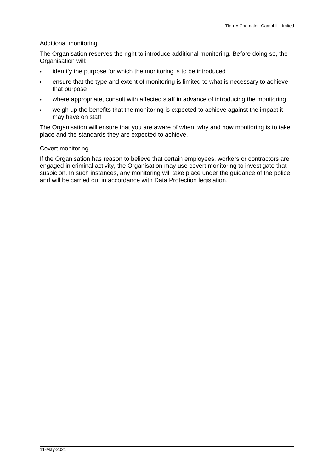# Additional monitoring

The Organisation reserves the right to introduce additional monitoring. Before doing so, the Organisation will:

- identify the purpose for which the monitoring is to be introduced
- · ensure that the type and extent of monitoring is limited to what is necessary to achieve that purpose
- where appropriate, consult with affected staff in advance of introducing the monitoring
- weigh up the benefits that the monitoring is expected to achieve against the impact it may have on staff

The Organisation will ensure that you are aware of when, why and how monitoring is to take place and the standards they are expected to achieve.

## Covert monitoring

If the Organisation has reason to believe that certain employees, workers or contractors are engaged in criminal activity, the Organisation may use covert monitoring to investigate that suspicion. In such instances, any monitoring will take place under the guidance of the police and will be carried out in accordance with Data Protection legislation.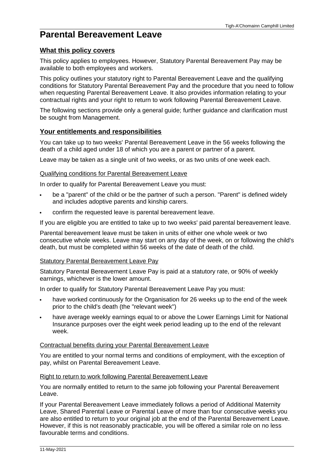# **Parental Bereavement Leave**

# **What this policy covers**

This policy applies to employees. However, Statutory Parental Bereavement Pay may be available to both employees and workers.

This policy outlines your statutory right to Parental Bereavement Leave and the qualifying conditions for Statutory Parental Bereavement Pay and the procedure that you need to follow when requesting Parental Bereavement Leave. It also provides information relating to your contractual rights and your right to return to work following Parental Bereavement Leave.

The following sections provide only a general guide; further guidance and clarification must be sought from Management.

# **Your entitlements and responsibilities**

You can take up to two weeks' Parental Bereavement Leave in the 56 weeks following the death of a child aged under 18 of which you are a parent or partner of a parent.

Leave may be taken as a single unit of two weeks, or as two units of one week each.

## Qualifying conditions for Parental Bereavement Leave

In order to qualify for Parental Bereavement Leave you must:

- be a "parent" of the child or be the partner of such a person. "Parent" is defined widely and includes adoptive parents and kinship carers.
- · confirm the requested leave is parental bereavement leave.

If you are eligible you are entitled to take up to two weeks' paid parental bereavement leave.

Parental bereavement leave must be taken in units of either one whole week or two consecutive whole weeks. Leave may start on any day of the week, on or following the child's death, but must be completed within 56 weeks of the date of death of the child.

## Statutory Parental Bereavement Leave Pay

Statutory Parental Bereavement Leave Pay is paid at a statutory rate, or 90% of weekly earnings, whichever is the lower amount.

In order to qualify for Statutory Parental Bereavement Leave Pay you must:

- have worked continuously for the Organisation for 26 weeks up to the end of the week prior to the child's death (the "relevant week")
- have average weekly earnings equal to or above the Lower Earnings Limit for National Insurance purposes over the eight week period leading up to the end of the relevant week.

## Contractual benefits during your Parental Bereavement Leave

You are entitled to your normal terms and conditions of employment, with the exception of pay, whilst on Parental Bereavement Leave.

### Right to return to work following Parental Bereavement Leave

You are normally entitled to return to the same job following your Parental Bereavement Leave.

If your Parental Bereavement Leave immediately follows a period of Additional Maternity Leave, Shared Parental Leave or Parental Leave of more than four consecutive weeks you are also entitled to return to your original job at the end of the Parental Bereavement Leave. However, if this is not reasonably practicable, you will be offered a similar role on no less favourable terms and conditions.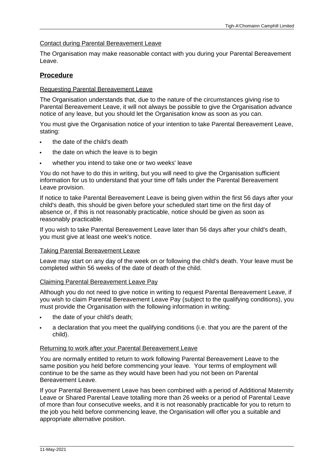## Contact during Parental Bereavement Leave

The Organisation may make reasonable contact with you during your Parental Bereavement Leave.

# **Procedure**

## Requesting Parental Bereavement Leave

The Organisation understands that, due to the nature of the circumstances giving rise to Parental Bereavement Leave, it will not always be possible to give the Organisation advance notice of any leave, but you should let the Organisation know as soon as you can.

You must give the Organisation notice of your intention to take Parental Bereavement Leave, stating:

- the date of the child's death
- the date on which the leave is to begin
- whether you intend to take one or two weeks' leave

You do not have to do this in writing, but you will need to give the Organisation sufficient information for us to understand that your time off falls under the Parental Bereavement Leave provision.

If notice to take Parental Bereavement Leave is being given within the first 56 days after your child's death, this should be given before your scheduled start time on the first day of absence or, if this is not reasonably practicable, notice should be given as soon as reasonably practicable.

If you wish to take Parental Bereavement Leave later than 56 days after your child's death, you must give at least one week's notice.

### Taking Parental Bereavement Leave

Leave may start on any day of the week on or following the child's death. Your leave must be completed within 56 weeks of the date of death of the child.

### Claiming Parental Bereavement Leave Pay

Although you do not need to give notice in writing to request Parental Bereavement Leave, if you wish to claim Parental Bereavement Leave Pay (subject to the qualifying conditions), you must provide the Organisation with the following information in writing:

- the date of your child's death:
- a declaration that you meet the qualifying conditions (i.e. that you are the parent of the child).

### Returning to work after your Parental Bereavement Leave

You are normally entitled to return to work following Parental Bereavement Leave to the same position you held before commencing your leave. Your terms of employment will continue to be the same as they would have been had you not been on Parental Bereavement Leave.

If your Parental Bereavement Leave has been combined with a period of Additional Maternity Leave or Shared Parental Leave totalling more than 26 weeks or a period of Parental Leave of more than four consecutive weeks, and it is not reasonably practicable for you to return to the job you held before commencing leave, the Organisation will offer you a suitable and appropriate alternative position.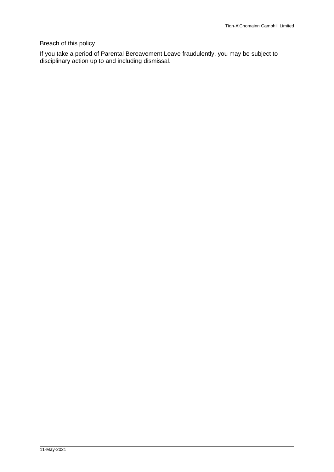# **Breach of this policy**

If you take a period of Parental Bereavement Leave fraudulently, you may be subject to disciplinary action up to and including dismissal.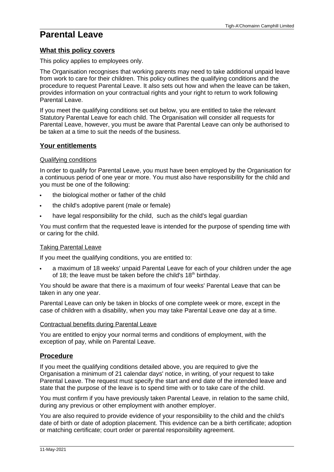# **Parental Leave**

## **What this policy covers**

This policy applies to employees only.

The Organisation recognises that working parents may need to take additional unpaid leave from work to care for their children. This policy outlines the qualifying conditions and the procedure to request Parental Leave. It also sets out how and when the leave can be taken, provides information on your contractual rights and your right to return to work following Parental Leave.

If you meet the qualifying conditions set out below, you are entitled to take the relevant Statutory Parental Leave for each child. The Organisation will consider all requests for Parental Leave, however, you must be aware that Parental Leave can only be authorised to be taken at a time to suit the needs of the business.

# **Your entitlements**

## Qualifying conditions

In order to qualify for Parental Leave, you must have been employed by the Organisation for a continuous period of one year or more. You must also have responsibility for the child and you must be one of the following:

- the biological mother or father of the child
- · the child's adoptive parent (male or female)
- have legal responsibility for the child, such as the child's legal guardian

You must confirm that the requested leave is intended for the purpose of spending time with or caring for the child.

### Taking Parental Leave

If you meet the qualifying conditions, you are entitled to:

a maximum of 18 weeks' unpaid Parental Leave for each of your children under the age of 18; the leave must be taken before the child's  $18<sup>th</sup>$  birthday.

You should be aware that there is a maximum of four weeks' Parental Leave that can be taken in any one year.

Parental Leave can only be taken in blocks of one complete week or more, except in the case of children with a disability, when you may take Parental Leave one day at a time.

## Contractual benefits during Parental Leave

You are entitled to enjoy your normal terms and conditions of employment, with the exception of pay, while on Parental Leave.

## **Procedure**

If you meet the qualifying conditions detailed above, you are required to give the Organisation a minimum of 21 calendar days' notice, in writing, of your request to take Parental Leave. The request must specify the start and end date of the intended leave and state that the purpose of the leave is to spend time with or to take care of the child.

You must confirm if you have previously taken Parental Leave, in relation to the same child, during any previous or other employment with another employer.

You are also required to provide evidence of your responsibility to the child and the child's date of birth or date of adoption placement. This evidence can be a birth certificate; adoption or matching certificate; court order or parental responsibility agreement.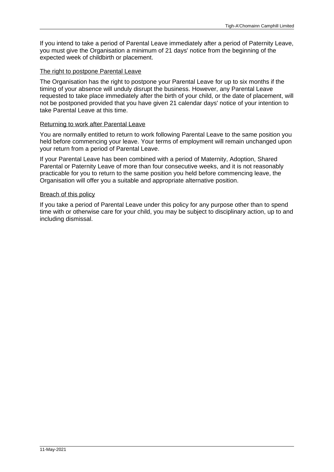If you intend to take a period of Parental Leave immediately after a period of Paternity Leave, you must give the Organisation a minimum of 21 days' notice from the beginning of the expected week of childbirth or placement.

## The right to postpone Parental Leave

The Organisation has the right to postpone your Parental Leave for up to six months if the timing of your absence will unduly disrupt the business. However, any Parental Leave requested to take place immediately after the birth of your child, or the date of placement, will not be postponed provided that you have given 21 calendar days' notice of your intention to take Parental Leave at this time.

## Returning to work after Parental Leave

You are normally entitled to return to work following Parental Leave to the same position you held before commencing your leave. Your terms of employment will remain unchanged upon your return from a period of Parental Leave.

If your Parental Leave has been combined with a period of Maternity, Adoption, Shared Parental or Paternity Leave of more than four consecutive weeks, and it is not reasonably practicable for you to return to the same position you held before commencing leave, the Organisation will offer you a suitable and appropriate alternative position.

## Breach of this policy

If you take a period of Parental Leave under this policy for any purpose other than to spend time with or otherwise care for your child, you may be subject to disciplinary action, up to and including dismissal.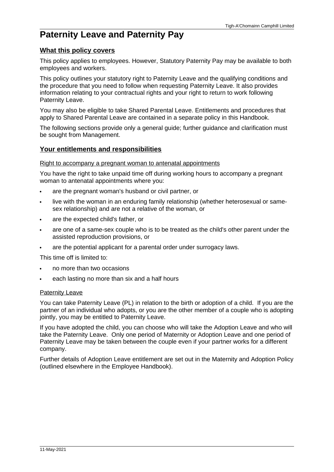# **Paternity Leave and Paternity Pay**

## **What this policy covers**

This policy applies to employees. However, Statutory Paternity Pay may be available to both employees and workers.

This policy outlines your statutory right to Paternity Leave and the qualifying conditions and the procedure that you need to follow when requesting Paternity Leave. It also provides information relating to your contractual rights and your right to return to work following Paternity Leave.

You may also be eligible to take Shared Parental Leave. Entitlements and procedures that apply to Shared Parental Leave are contained in a separate policy in this Handbook.

The following sections provide only a general guide; further guidance and clarification must be sought from Management.

## **Your entitlements and responsibilities**

### Right to accompany a pregnant woman to antenatal appointments

You have the right to take unpaid time off during working hours to accompany a pregnant woman to antenatal appointments where you:

- · are the pregnant woman's husband or civil partner, or
- · live with the woman in an enduring family relationship (whether heterosexual or samesex relationship) and are not a relative of the woman, or
- · are the expected child's father, or
- are one of a same-sex couple who is to be treated as the child's other parent under the assisted reproduction provisions, or
- are the potential applicant for a parental order under surrogacy laws.

This time off is limited to:

- · no more than two occasions
- each lasting no more than six and a half hours

### Paternity Leave

You can take Paternity Leave (PL) in relation to the birth or adoption of a child. If you are the partner of an individual who adopts, or you are the other member of a couple who is adopting jointly, you may be entitled to Paternity Leave.

If you have adopted the child, you can choose who will take the Adoption Leave and who will take the Paternity Leave. Only one period of Maternity or Adoption Leave and one period of Paternity Leave may be taken between the couple even if your partner works for a different company.

Further details of Adoption Leave entitlement are set out in the Maternity and Adoption Policy (outlined elsewhere in the Employee Handbook).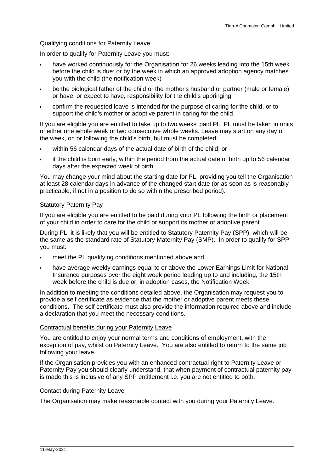## Qualifying conditions for Paternity Leave

In order to qualify for Paternity Leave you must:

- have worked continuously for the Organisation for 26 weeks leading into the 15th week before the child is due; or by the week in which an approved adoption agency matches you with the child (the notification week)
- be the biological father of the child or the mother's husband or partner (male or female) or have, or expect to have, responsibility for the child's upbringing
- confirm the requested leave is intended for the purpose of caring for the child, or to support the child's mother or adoptive parent in caring for the child.

If you are eligible you are entitled to take up to two weeks' paid PL. PL must be taken in units of either one whole week or two consecutive whole weeks. Leave may start on any day of the week, on or following the child's birth, but must be completed:

- within 56 calendar days of the actual date of birth of the child; or
- · if the child is born early, within the period from the actual date of birth up to 56 calendar days after the expected week of birth.

You may change your mind about the starting date for PL, providing you tell the Organisation at least 28 calendar days in advance of the changed start date (or as soon as is reasonably practicable, if not in a position to do so within the prescribed period).

### **Statutory Paternity Pay**

If you are eligible you are entitled to be paid during your PL following the birth or placement of your child in order to care for the child or support its mother or adoptive parent.

During PL, it is likely that you will be entitled to Statutory Paternity Pay (SPP), which will be the same as the standard rate of Statutory Maternity Pay (SMP). In order to qualify for SPP you must:

- meet the PL qualifying conditions mentioned above and
- have average weekly earnings equal to or above the Lower Earnings Limit for National Insurance purposes over the eight week period leading up to and including, the 15th week before the child is due or, in adoption cases, the Notification Week

In addition to meeting the conditions detailed above, the Organisation may request you to provide a self certificate as evidence that the mother or adoptive parent meets these conditions. The self certificate must also provide the information required above and include a declaration that you meet the necessary conditions.

### Contractual benefits during your Paternity Leave

You are entitled to enjoy your normal terms and conditions of employment, with the exception of pay, whilst on Paternity Leave. You are also entitled to return to the same job following your leave.

If the Organisation provides you with an enhanced contractual right to Paternity Leave or Paternity Pay you should clearly understand, that when payment of contractual paternity pay is made this is inclusive of any SPP entitlement i.e. you are not entitled to both.

### Contact during Paternity Leave

The Organisation may make reasonable contact with you during your Paternity Leave.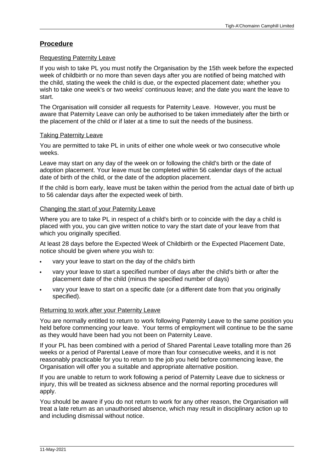# **Procedure**

## Requesting Paternity Leave

If you wish to take PL you must notify the Organisation by the 15th week before the expected week of childbirth or no more than seven days after you are notified of being matched with the child, stating the week the child is due, or the expected placement date; whether you wish to take one week's or two weeks' continuous leave; and the date you want the leave to start.

The Organisation will consider all requests for Paternity Leave. However, you must be aware that Paternity Leave can only be authorised to be taken immediately after the birth or the placement of the child or if later at a time to suit the needs of the business.

## Taking Paternity Leave

You are permitted to take PL in units of either one whole week or two consecutive whole weeks.

Leave may start on any day of the week on or following the child's birth or the date of adoption placement. Your leave must be completed within 56 calendar days of the actual date of birth of the child, or the date of the adoption placement.

If the child is born early, leave must be taken within the period from the actual date of birth up to 56 calendar days after the expected week of birth.

## Changing the start of your Paternity Leave

Where you are to take PL in respect of a child's birth or to coincide with the day a child is placed with you, you can give written notice to vary the start date of your leave from that which you originally specified.

At least 28 days before the Expected Week of Childbirth or the Expected Placement Date, notice should be given where you wish to:

- vary your leave to start on the day of the child's birth
- · vary your leave to start a specified number of days after the child's birth or after the placement date of the child (minus the specified number of days)
- · vary your leave to start on a specific date (or a different date from that you originally specified).

## Returning to work after your Paternity Leave

You are normally entitled to return to work following Paternity Leave to the same position you held before commencing your leave. Your terms of employment will continue to be the same as they would have been had you not been on Paternity Leave.

If your PL has been combined with a period of Shared Parental Leave totalling more than 26 weeks or a period of Parental Leave of more than four consecutive weeks, and it is not reasonably practicable for you to return to the job you held before commencing leave, the Organisation will offer you a suitable and appropriate alternative position.

If you are unable to return to work following a period of Paternity Leave due to sickness or injury, this will be treated as sickness absence and the normal reporting procedures will apply.

You should be aware if you do not return to work for any other reason, the Organisation will treat a late return as an unauthorised absence, which may result in disciplinary action up to and including dismissal without notice.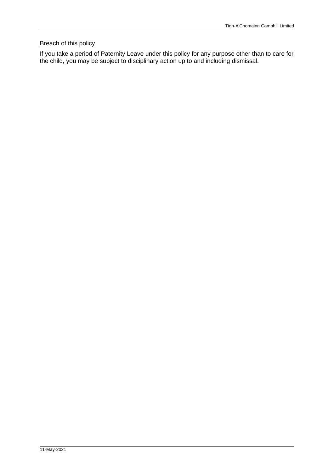# Breach of this policy

If you take a period of Paternity Leave under this policy for any purpose other than to care for the child, you may be subject to disciplinary action up to and including dismissal.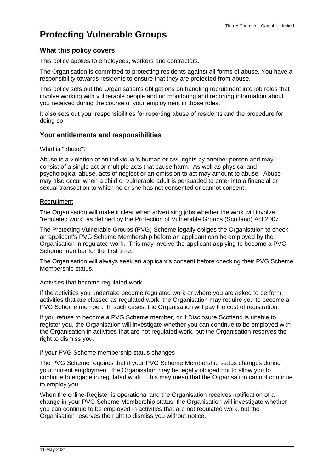# **Protecting Vulnerable Groups**

# **What this policy covers**

This policy applies to employees, workers and contractors.

The Organisation is committed to protecting residents against all forms of abuse. You have a responsibility towards residents to ensure that they are protected from abuse.

This policy sets out the Organisation's obligations on handling recruitment into job roles that involve working with vulnerable people and on monitoring and reporting information about you received during the course of your employment in those roles.

It also sets out your responsibilities for reporting abuse of residents and the procedure for doing so.

# **Your entitlements and responsibilities**

## What is "abuse"?

Abuse is a violation of an individual's human or civil rights by another person and may consist of a single act or multiple acts that cause harm. As well as physical and psychological abuse, acts of neglect or an omission to act may amount to abuse. Abuse may also occur when a child or vulnerable adult is persuaded to enter into a financial or sexual transaction to which he or she has not consented or cannot consent.

# **Recruitment**

The Organisation will make it clear when advertising jobs whether the work will involve "regulated work" as defined by the Protection of Vulnerable Groups (Scotland) Act 2007.

The Protecting Vulnerable Groups (PVG) Scheme legally obliges the Organisation to check an applicant's PVG Scheme Membership before an applicant can be employed by the Organisation in regulated work. This may involve the applicant applying to become a PVG Scheme member for the first time.

The Organisation will always seek an applicant's consent before checking their PVG Scheme Membership status.

# Activities that become regulated work

If the activities you undertake become regulated work or where you are asked to perform activities that are classed as regulated work, the Organisation may require you to become a PVG Scheme member. In such cases, the Organisation will pay the cost of registration.

If you refuse to become a PVG Scheme member, or if Disclosure Scotland is unable to register you, the Organisation will investigate whether you can continue to be employed with the Organisation in activities that are not regulated work, but the Organisation reserves the right to dismiss you.

## If your PVG Scheme membership status changes

The PVG Scheme requires that if your PVG Scheme Membership status changes during your current employment, the Organisation may be legally obliged not to allow you to continue to engage in regulated work. This may mean that the Organisation cannot continue to employ you.

When the online-Register is operational and the Organisation receives notification of a change in your PVG Scheme Membership status, the Organisation will investigate whether you can continue to be employed in activities that are not regulated work, but the Organisation reserves the right to dismiss you without notice.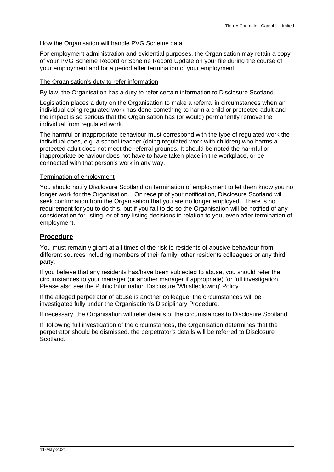## How the Organisation will handle PVG Scheme data

For employment administration and evidential purposes, the Organisation may retain a copy of your PVG Scheme Record or Scheme Record Update on your file during the course of your employment and for a period after termination of your employment.

## The Organisation's duty to refer information

By law, the Organisation has a duty to refer certain information to Disclosure Scotland.

Legislation places a duty on the Organisation to make a referral in circumstances when an individual doing regulated work has done something to harm a child or protected adult and the impact is so serious that the Organisation has (or would) permanently remove the individual from regulated work.

The harmful or inappropriate behaviour must correspond with the type of regulated work the individual does, e.g. a school teacher (doing regulated work with children) who harms a protected adult does not meet the referral grounds. It should be noted the harmful or inappropriate behaviour does not have to have taken place in the workplace, or be connected with that person's work in any way.

### Termination of employment

You should notify Disclosure Scotland on termination of employment to let them know you no longer work for the Organisation. On receipt of your notification, Disclosure Scotland will seek confirmation from the Organisation that you are no longer employed. There is no requirement for you to do this, but if you fail to do so the Organisation will be notified of any consideration for listing, or of any listing decisions in relation to you, even after termination of employment.

## **Procedure**

You must remain vigilant at all times of the risk to residents of abusive behaviour from different sources including members of their family, other residents colleagues or any third party.

If you believe that any residents has/have been subjected to abuse, you should refer the circumstances to your manager (or another manager if appropriate) for full investigation. Please also see the Public Information Disclosure 'Whistleblowing' Policy

If the alleged perpetrator of abuse is another colleague, the circumstances will be investigated fully under the Organisation's Disciplinary Procedure.

If necessary, the Organisation will refer details of the circumstances to Disclosure Scotland.

If, following full investigation of the circumstances, the Organisation determines that the perpetrator should be dismissed, the perpetrator's details will be referred to Disclosure Scotland.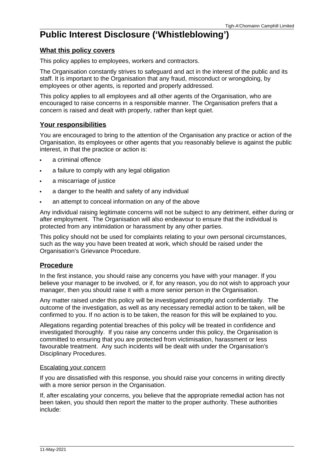# **Public Interest Disclosure ('Whistleblowing')**

## **What this policy covers**

This policy applies to employees, workers and contractors.

The Organisation constantly strives to safeguard and act in the interest of the public and its staff. It is important to the Organisation that any fraud, misconduct or wrongdoing, by employees or other agents, is reported and properly addressed.

This policy applies to all employees and all other agents of the Organisation, who are encouraged to raise concerns in a responsible manner. The Organisation prefers that a concern is raised and dealt with properly, rather than kept quiet.

# **Your responsibilities**

You are encouraged to bring to the attention of the Organisation any practice or action of the Organisation, its employees or other agents that you reasonably believe is against the public interest, in that the practice or action is:

- a criminal offence
- a failure to comply with any legal obligation
- a miscarriage of justice
- · a danger to the health and safety of any individual
- an attempt to conceal information on any of the above

Any individual raising legitimate concerns will not be subject to any detriment, either during or after employment. The Organisation will also endeavour to ensure that the individual is protected from any intimidation or harassment by any other parties.

This policy should not be used for complaints relating to your own personal circumstances, such as the way you have been treated at work, which should be raised under the Organisation's Grievance Procedure.

# **Procedure**

In the first instance, you should raise any concerns you have with your manager. If you believe your manager to be involved, or if, for any reason, you do not wish to approach your manager, then you should raise it with a more senior person in the Organisation.

Any matter raised under this policy will be investigated promptly and confidentially. The outcome of the investigation, as well as any necessary remedial action to be taken, will be confirmed to you. If no action is to be taken, the reason for this will be explained to you.

Allegations regarding potential breaches of this policy will be treated in confidence and investigated thoroughly. If you raise any concerns under this policy, the Organisation is committed to ensuring that you are protected from victimisation, harassment or less favourable treatment. Any such incidents will be dealt with under the Organisation's Disciplinary Procedures.

## Escalating your concern

If you are dissatisfied with this response, you should raise your concerns in writing directly with a more senior person in the Organisation.

If, after escalating your concerns, you believe that the appropriate remedial action has not been taken, you should then report the matter to the proper authority. These authorities include: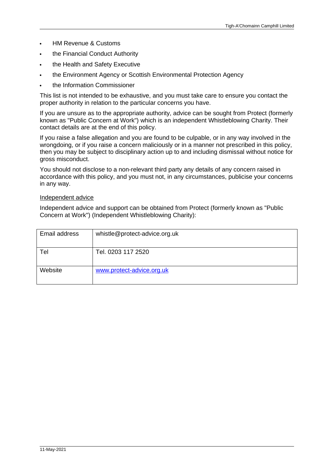- · HM Revenue & Customs
- the Financial Conduct Authority
- the Health and Safety Executive
- · the Environment Agency or Scottish Environmental Protection Agency
- the Information Commissioner

This list is not intended to be exhaustive, and you must take care to ensure you contact the proper authority in relation to the particular concerns you have.

If you are unsure as to the appropriate authority, advice can be sought from Protect (formerly known as "Public Concern at Work") which is an independent Whistleblowing Charity. Their contact details are at the end of this policy.

If you raise a false allegation and you are found to be culpable, or in any way involved in the wrongdoing, or if you raise a concern maliciously or in a manner not prescribed in this policy, then you may be subject to disciplinary action up to and including dismissal without notice for gross misconduct.

You should not disclose to a non-relevant third party any details of any concern raised in accordance with this policy, and you must not, in any circumstances, publicise your concerns in any way.

### Independent advice

Independent advice and support can be obtained from Protect (formerly known as "Public Concern at Work") (Independent Whistleblowing Charity):

| Email address | whistle@protect-advice.org.uk |
|---------------|-------------------------------|
|               |                               |
| Tel           | Tel. 0203 117 2520            |
| Website       | www.protect-advice.org.uk     |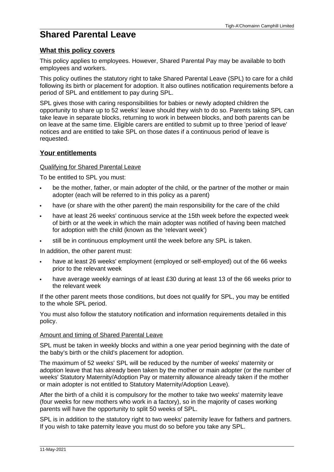# **Shared Parental Leave**

# **What this policy covers**

This policy applies to employees. However, Shared Parental Pay may be available to both employees and workers.

This policy outlines the statutory right to take Shared Parental Leave (SPL) to care for a child following its birth or placement for adoption. It also outlines notification requirements before a period of SPL and entitlement to pay during SPL.

SPL gives those with caring responsibilities for babies or newly adopted children the opportunity to share up to 52 weeks' leave should they wish to do so. Parents taking SPL can take leave in separate blocks, returning to work in between blocks, and both parents can be on leave at the same time. Eligible carers are entitled to submit up to three 'period of leave' notices and are entitled to take SPL on those dates if a continuous period of leave is requested.

# **Your entitlements**

## Qualifying for Shared Parental Leave

To be entitled to SPL you must:

- be the mother, father, or main adopter of the child, or the partner of the mother or main adopter (each will be referred to in this policy as a parent)
- have (or share with the other parent) the main responsibility for the care of the child
- have at least 26 weeks' continuous service at the 15th week before the expected week of birth or at the week in which the main adopter was notified of having been matched for adoption with the child (known as the 'relevant week')
- still be in continuous employment until the week before any SPL is taken.

In addition, the other parent must:

- have at least 26 weeks' employment (employed or self-employed) out of the 66 weeks prior to the relevant week
- have average weekly earnings of at least £30 during at least 13 of the 66 weeks prior to the relevant week

If the other parent meets those conditions, but does not qualify for SPL, you may be entitled to the whole SPL period.

You must also follow the statutory notification and information requirements detailed in this policy.

### Amount and timing of Shared Parental Leave

SPL must be taken in weekly blocks and within a one year period beginning with the date of the baby's birth or the child's placement for adoption.

The maximum of 52 weeks' SPL will be reduced by the number of weeks' maternity or adoption leave that has already been taken by the mother or main adopter (or the number of weeks' Statutory Maternity/Adoption Pay or maternity allowance already taken if the mother or main adopter is not entitled to Statutory Maternity/Adoption Leave).

After the birth of a child it is compulsory for the mother to take two weeks' maternity leave (four weeks for new mothers who work in a factory), so in the majority of cases working parents will have the opportunity to split 50 weeks of SPL.

SPL is in addition to the statutory right to two weeks' paternity leave for fathers and partners. If you wish to take paternity leave you must do so before you take any SPL.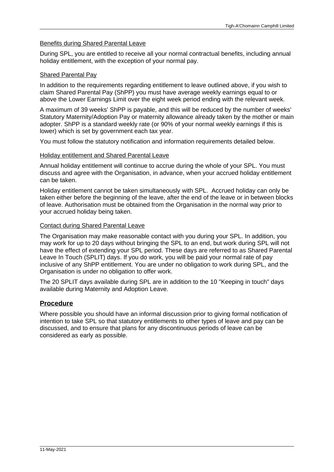## Benefits during Shared Parental Leave

During SPL, you are entitled to receive all your normal contractual benefits, including annual holiday entitlement, with the exception of your normal pay.

## Shared Parental Pay

In addition to the requirements regarding entitlement to leave outlined above, if you wish to claim Shared Parental Pay (ShPP) you must have average weekly earnings equal to or above the Lower Earnings Limit over the eight week period ending with the relevant week.

A maximum of 39 weeks' ShPP is payable, and this will be reduced by the number of weeks' Statutory Maternity/Adoption Pay or maternity allowance already taken by the mother or main adopter. ShPP is a standard weekly rate (or 90% of your normal weekly earnings if this is lower) which is set by government each tax year.

You must follow the statutory notification and information requirements detailed below.

## Holiday entitlement and Shared Parental Leave

Annual holiday entitlement will continue to accrue during the whole of your SPL. You must discuss and agree with the Organisation, in advance, when your accrued holiday entitlement can be taken.

Holiday entitlement cannot be taken simultaneously with SPL. Accrued holiday can only be taken either before the beginning of the leave, after the end of the leave or in between blocks of leave. Authorisation must be obtained from the Organisation in the normal way prior to your accrued holiday being taken.

## Contact during Shared Parental Leave

The Organisation may make reasonable contact with you during your SPL. In addition, you may work for up to 20 days without bringing the SPL to an end, but work during SPL will not have the effect of extending your SPL period. These days are referred to as Shared Parental Leave In Touch (SPLIT) days. If you do work, you will be paid your normal rate of pay inclusive of any ShPP entitlement. You are under no obligation to work during SPL, and the Organisation is under no obligation to offer work.

The 20 SPLIT days available during SPL are in addition to the 10 "Keeping in touch" days available during Maternity and Adoption Leave.

## **Procedure**

Where possible you should have an informal discussion prior to giving formal notification of intention to take SPL so that statutory entitlements to other types of leave and pay can be discussed, and to ensure that plans for any discontinuous periods of leave can be considered as early as possible.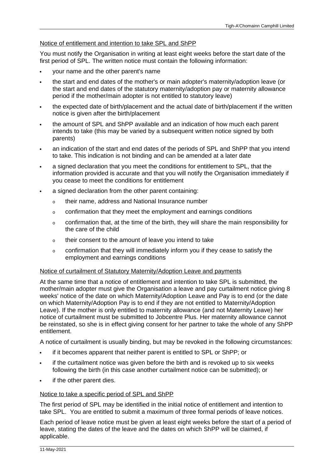# Notice of entitlement and intention to take SPL and ShPP

You must notify the Organisation in writing at least eight weeks before the start date of the first period of SPL. The written notice must contain the following information:

- · your name and the other parent's name
- · the start and end dates of the mother's or main adopter's maternity/adoption leave (or the start and end dates of the statutory maternity/adoption pay or maternity allowance period if the mother/main adopter is not entitled to statutory leave)
- the expected date of birth/placement and the actual date of birth/placement if the written notice is given after the birth/placement
- · the amount of SPL and ShPP available and an indication of how much each parent intends to take (this may be varied by a subsequent written notice signed by both parents)
- an indication of the start and end dates of the periods of SPL and ShPP that you intend to take. This indication is not binding and can be amended at a later date
- · a signed declaration that you meet the conditions for entitlement to SPL, that the information provided is accurate and that you will notify the Organisation immediately if you cease to meet the conditions for entitlement
- a signed declaration from the other parent containing:
	- o their name, address and National Insurance number
	- o confirmation that they meet the employment and earnings conditions
	- o confirmation that, at the time of the birth, they will share the main responsibility for the care of the child
	- o their consent to the amount of leave you intend to take
	- o confirmation that they will immediately inform you if they cease to satisfy the employment and earnings conditions

## Notice of curtailment of Statutory Maternity/Adoption Leave and payments

At the same time that a notice of entitlement and intention to take SPL is submitted, the mother/main adopter must give the Organisation a leave and pay curtailment notice giving 8 weeks' notice of the date on which Maternity/Adoption Leave and Pay is to end (or the date on which Maternity/Adoption Pay is to end if they are not entitled to Maternity/Adoption Leave). If the mother is only entitled to maternity allowance (and not Maternity Leave) her notice of curtailment must be submitted to Jobcentre Plus. Her maternity allowance cannot be reinstated, so she is in effect giving consent for her partner to take the whole of any ShPP entitlement.

A notice of curtailment is usually binding, but may be revoked in the following circumstances:

- · if it becomes apparent that neither parent is entitled to SPL or ShPP; or
- · if the curtailment notice was given before the birth and is revoked up to six weeks following the birth (in this case another curtailment notice can be submitted); or
- if the other parent dies.

### Notice to take a specific period of SPL and ShPP

The first period of SPL may be identified in the initial notice of entitlement and intention to take SPL. You are entitled to submit a maximum of three formal periods of leave notices.

Each period of leave notice must be given at least eight weeks before the start of a period of leave, stating the dates of the leave and the dates on which ShPP will be claimed, if applicable.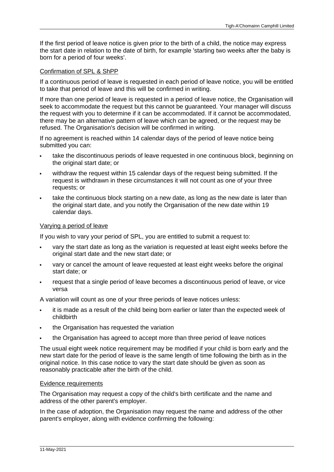If the first period of leave notice is given prior to the birth of a child, the notice may express the start date in relation to the date of birth, for example 'starting two weeks after the baby is born for a period of four weeks'.

## Confirmation of SPL & ShPP

If a continuous period of leave is requested in each period of leave notice, you will be entitled to take that period of leave and this will be confirmed in writing.

If more than one period of leave is requested in a period of leave notice, the Organisation will seek to accommodate the request but this cannot be guaranteed. Your manager will discuss the request with you to determine if it can be accommodated. If it cannot be accommodated, there may be an alternative pattern of leave which can be agreed, or the request may be refused. The Organisation's decision will be confirmed in writing.

If no agreement is reached within 14 calendar days of the period of leave notice being submitted you can:

- take the discontinuous periods of leave requested in one continuous block, beginning on the original start date; or
- withdraw the request within 15 calendar days of the request being submitted. If the request is withdrawn in these circumstances it will not count as one of your three requests; or
- take the continuous block starting on a new date, as long as the new date is later than the original start date, and you notify the Organisation of the new date within 19 calendar days.

### Varying a period of leave

If you wish to vary your period of SPL, you are entitled to submit a request to:

- · vary the start date as long as the variation is requested at least eight weeks before the original start date and the new start date; or
- · vary or cancel the amount of leave requested at least eight weeks before the original start date; or
- · request that a single period of leave becomes a discontinuous period of leave, or vice versa

A variation will count as one of your three periods of leave notices unless:

- · it is made as a result of the child being born earlier or later than the expected week of childbirth
- the Organisation has requested the variation
- · the Organisation has agreed to accept more than three period of leave notices

The usual eight week notice requirement may be modified if your child is born early and the new start date for the period of leave is the same length of time following the birth as in the original notice. In this case notice to vary the start date should be given as soon as reasonably practicable after the birth of the child.

### Evidence requirements

The Organisation may request a copy of the child's birth certificate and the name and address of the other parent's employer.

In the case of adoption, the Organisation may request the name and address of the other parent's employer, along with evidence confirming the following: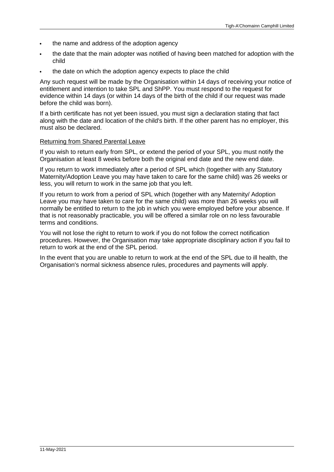- the name and address of the adoption agency
- · the date that the main adopter was notified of having been matched for adoption with the child
- the date on which the adoption agency expects to place the child

Any such request will be made by the Organisation within 14 days of receiving your notice of entitlement and intention to take SPL and ShPP. You must respond to the request for evidence within 14 days (or within 14 days of the birth of the child if our request was made before the child was born).

If a birth certificate has not yet been issued, you must sign a declaration stating that fact along with the date and location of the child's birth. If the other parent has no employer, this must also be declared.

### Returning from Shared Parental Leave

If you wish to return early from SPL, or extend the period of your SPL, you must notify the Organisation at least 8 weeks before both the original end date and the new end date.

If you return to work immediately after a period of SPL which (together with any Statutory Maternity/Adoption Leave you may have taken to care for the same child) was 26 weeks or less, you will return to work in the same job that you left.

If you return to work from a period of SPL which (together with any Maternity/ Adoption Leave you may have taken to care for the same child) was more than 26 weeks you will normally be entitled to return to the job in which you were employed before your absence. If that is not reasonably practicable, you will be offered a similar role on no less favourable terms and conditions.

You will not lose the right to return to work if you do not follow the correct notification procedures. However, the Organisation may take appropriate disciplinary action if you fail to return to work at the end of the SPL period.

In the event that you are unable to return to work at the end of the SPL due to ill health, the Organisation's normal sickness absence rules, procedures and payments will apply.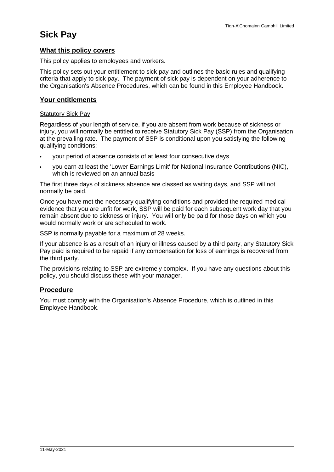# **Sick Pay**

# **What this policy covers**

This policy applies to employees and workers.

This policy sets out your entitlement to sick pay and outlines the basic rules and qualifying criteria that apply to sick pay. The payment of sick pay is dependent on your adherence to the Organisation's Absence Procedures, which can be found in this Employee Handbook.

# **Your entitlements**

# Statutory Sick Pay

Regardless of your length of service, if you are absent from work because of sickness or injury, you will normally be entitled to receive Statutory Sick Pay (SSP) from the Organisation at the prevailing rate. The payment of SSP is conditional upon you satisfying the following qualifying conditions:

- your period of absence consists of at least four consecutive days
- · you earn at least the 'Lower Earnings Limit' for National Insurance Contributions (NIC), which is reviewed on an annual basis

The first three days of sickness absence are classed as waiting days, and SSP will not normally be paid.

Once you have met the necessary qualifying conditions and provided the required medical evidence that you are unfit for work, SSP will be paid for each subsequent work day that you remain absent due to sickness or injury. You will only be paid for those days on which you would normally work or are scheduled to work.

SSP is normally payable for a maximum of 28 weeks.

If your absence is as a result of an injury or illness caused by a third party, any Statutory Sick Pay paid is required to be repaid if any compensation for loss of earnings is recovered from the third party.

The provisions relating to SSP are extremely complex. If you have any questions about this policy, you should discuss these with your manager.

# **Procedure**

You must comply with the Organisation's Absence Procedure, which is outlined in this Employee Handbook.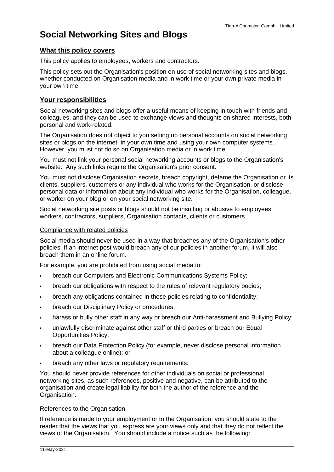# **Social Networking Sites and Blogs**

# **What this policy covers**

This policy applies to employees, workers and contractors.

This policy sets out the Organisation's position on use of social networking sites and blogs, whether conducted on Organisation media and in work time or your own private media in your own time.

# **Your responsibilities**

Social networking sites and blogs offer a useful means of keeping in touch with friends and colleagues, and they can be used to exchange views and thoughts on shared interests, both personal and work-related.

The Organisation does not object to you setting up personal accounts on social networking sites or blogs on the internet, in your own time and using your own computer systems. However, you must not do so on Organisation media or in work time.

You must not link your personal social networking accounts or blogs to the Organisation's website. Any such links require the Organisation's prior consent.

You must not disclose Organisation secrets, breach copyright, defame the Organisation or its clients, suppliers, customers or any individual who works for the Organisation, or disclose personal data or information about any individual who works for the Organisation, colleague, or worker on your blog or on your social networking site.

Social networking site posts or blogs should not be insulting or abusive to employees, workers, contractors, suppliers, Organisation contacts, clients or customers.

## Compliance with related policies

Social media should never be used in a way that breaches any of the Organisation's other policies. If an internet post would breach any of our policies in another forum, it will also breach them in an online forum.

For example, you are prohibited from using social media to:

- breach our Computers and Electronic Communications Systems Policy;
- breach our obligations with respect to the rules of relevant regulatory bodies;
- · breach any obligations contained in those policies relating to confidentiality;
- · breach our Disciplinary Policy or procedures;
- · harass or bully other staff in any way or breach our Anti-harassment and Bullying Policy;
- unlawfully discriminate against other staff or third parties or breach our Equal Opportunities Policy;
- breach our Data Protection Policy (for example, never disclose personal information about a colleague online); or
- breach any other laws or regulatory requirements.

You should never provide references for other individuals on social or professional networking sites, as such references, positive and negative, can be attributed to the organisation and create legal liability for both the author of the reference and the Organisation.

### References to the Organisation

If reference is made to your employment or to the Organisation, you should state to the reader that the views that you express are your views only and that they do not reflect the views of the Organisation. You should include a notice such as the following: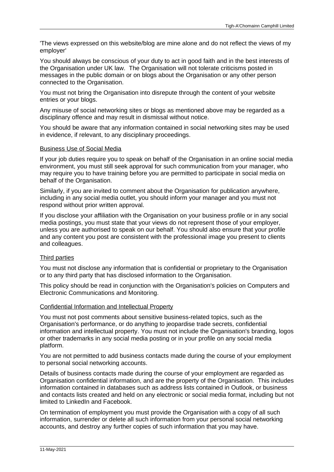'The views expressed on this website/blog are mine alone and do not reflect the views of my employer'

You should always be conscious of your duty to act in good faith and in the best interests of the Organisation under UK law. The Organisation will not tolerate criticisms posted in messages in the public domain or on blogs about the Organisation or any other person connected to the Organisation.

You must not bring the Organisation into disrepute through the content of your website entries or your blogs.

Any misuse of social networking sites or blogs as mentioned above may be regarded as a disciplinary offence and may result in dismissal without notice.

You should be aware that any information contained in social networking sites may be used in evidence, if relevant, to any disciplinary proceedings.

## Business Use of Social Media

If your job duties require you to speak on behalf of the Organisation in an online social media environment, you must still seek approval for such communication from your manager, who may require you to have training before you are permitted to participate in social media on behalf of the Organisation.

Similarly, if you are invited to comment about the Organisation for publication anywhere, including in any social media outlet, you should inform your manager and you must not respond without prior written approval.

If you disclose your affiliation with the Organisation on your business profile or in any social media postings, you must state that your views do not represent those of your employer, unless you are authorised to speak on our behalf. You should also ensure that your profile and any content you post are consistent with the professional image you present to clients and colleagues.

### Third parties

You must not disclose any information that is confidential or proprietary to the Organisation or to any third party that has disclosed information to the Organisation.

This policy should be read in conjunction with the Organisation's policies on Computers and Electronic Communications and Monitoring.

## Confidential Information and Intellectual Property

You must not post comments about sensitive business-related topics, such as the Organisation's performance, or do anything to jeopardise trade secrets, confidential information and intellectual property. You must not include the Organisation's branding, logos or other trademarks in any social media posting or in your profile on any social media platform.

You are not permitted to add business contacts made during the course of your employment to personal social networking accounts.

Details of business contacts made during the course of your employment are regarded as Organisation confidential information, and are the property of the Organisation. This includes information contained in databases such as address lists contained in Outlook, or business and contacts lists created and held on any electronic or social media format, including but not limited to LinkedIn and Facebook.

On termination of employment you must provide the Organisation with a copy of all such information, surrender or delete all such information from your personal social networking accounts, and destroy any further copies of such information that you may have.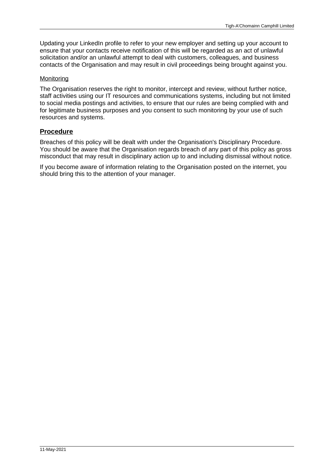Updating your LinkedIn profile to refer to your new employer and setting up your account to ensure that your contacts receive notification of this will be regarded as an act of unlawful solicitation and/or an unlawful attempt to deal with customers, colleagues, and business contacts of the Organisation and may result in civil proceedings being brought against you.

## **Monitoring**

The Organisation reserves the right to monitor, intercept and review, without further notice, staff activities using our IT resources and communications systems, including but not limited to social media postings and activities, to ensure that our rules are being complied with and for legitimate business purposes and you consent to such monitoring by your use of such resources and systems.

# **Procedure**

Breaches of this policy will be dealt with under the Organisation's Disciplinary Procedure. You should be aware that the Organisation regards breach of any part of this policy as gross misconduct that may result in disciplinary action up to and including dismissal without notice.

If you become aware of information relating to the Organisation posted on the internet, you should bring this to the attention of your manager.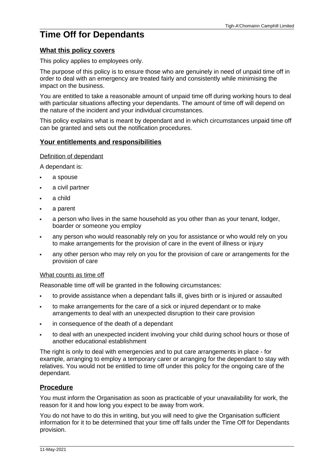# **Time Off for Dependants**

### **What this policy covers**

This policy applies to employees only.

The purpose of this policy is to ensure those who are genuinely in need of unpaid time off in order to deal with an emergency are treated fairly and consistently while minimising the impact on the business.

You are entitled to take a reasonable amount of unpaid time off during working hours to deal with particular situations affecting your dependants. The amount of time off will depend on the nature of the incident and your individual circumstances.

This policy explains what is meant by dependant and in which circumstances unpaid time off can be granted and sets out the notification procedures.

## **Your entitlements and responsibilities**

#### Definition of dependant

A dependant is:

- · a spouse
- · a civil partner
- a child
- a parent
- · a person who lives in the same household as you other than as your tenant, lodger, boarder or someone you employ
- any person who would reasonably rely on you for assistance or who would rely on you to make arrangements for the provision of care in the event of illness or injury
- any other person who may rely on you for the provision of care or arrangements for the provision of care

#### What counts as time off

Reasonable time off will be granted in the following circumstances:

- · to provide assistance when a dependant falls ill, gives birth or is injured or assaulted
- · to make arrangements for the care of a sick or injured dependant or to make arrangements to deal with an unexpected disruption to their care provision
- in consequence of the death of a dependant
- · to deal with an unexpected incident involving your child during school hours or those of another educational establishment

The right is only to deal with emergencies and to put care arrangements in place - for example, arranging to employ a temporary carer or arranging for the dependant to stay with relatives. You would not be entitled to time off under this policy for the ongoing care of the dependant.

## **Procedure**

You must inform the Organisation as soon as practicable of your unavailability for work, the reason for it and how long you expect to be away from work.

You do not have to do this in writing, but you will need to give the Organisation sufficient information for it to be determined that your time off falls under the Time Off for Dependants provision.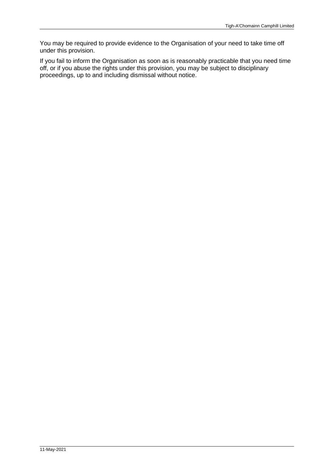You may be required to provide evidence to the Organisation of your need to take time off under this provision.

If you fail to inform the Organisation as soon as is reasonably practicable that you need time off, or if you abuse the rights under this provision, you may be subject to disciplinary proceedings, up to and including dismissal without notice.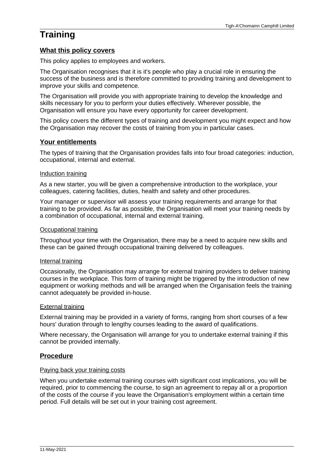# **Training**

# **What this policy covers**

This policy applies to employees and workers.

The Organisation recognises that it is it's people who play a crucial role in ensuring the success of the business and is therefore committed to providing training and development to improve your skills and competence.

The Organisation will provide you with appropriate training to develop the knowledge and skills necessary for you to perform your duties effectively. Wherever possible, the Organisation will ensure you have every opportunity for career development.

This policy covers the different types of training and development you might expect and how the Organisation may recover the costs of training from you in particular cases.

# **Your entitlements**

The types of training that the Organisation provides falls into four broad categories: induction, occupational, internal and external.

# Induction training

As a new starter, you will be given a comprehensive introduction to the workplace, your colleagues, catering facilities, duties, health and safety and other procedures.

Your manager or supervisor will assess your training requirements and arrange for that training to be provided. As far as possible, the Organisation will meet your training needs by a combination of occupational, internal and external training.

# Occupational training

Throughout your time with the Organisation, there may be a need to acquire new skills and these can be gained through occupational training delivered by colleagues.

#### Internal training

Occasionally, the Organisation may arrange for external training providers to deliver training courses in the workplace. This form of training might be triggered by the introduction of new equipment or working methods and will be arranged when the Organisation feels the training cannot adequately be provided in-house.

# External training

External training may be provided in a variety of forms, ranging from short courses of a few hours' duration through to lengthy courses leading to the award of qualifications.

Where necessary, the Organisation will arrange for you to undertake external training if this cannot be provided internally.

# **Procedure**

#### Paying back your training costs

When you undertake external training courses with significant cost implications, you will be required, prior to commencing the course, to sign an agreement to repay all or a proportion of the costs of the course if you leave the Organisation's employment within a certain time period. Full details will be set out in your training cost agreement.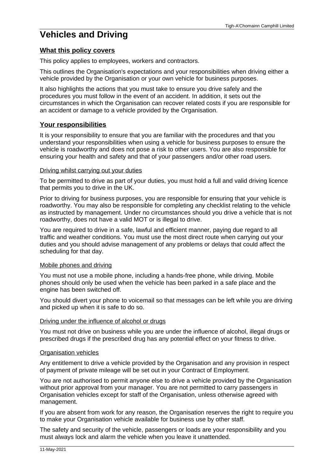# **What this policy covers**

This policy applies to employees, workers and contractors.

This outlines the Organisation's expectations and your responsibilities when driving either a vehicle provided by the Organisation or your own vehicle for business purposes.

It also highlights the actions that you must take to ensure you drive safely and the procedures you must follow in the event of an accident. In addition, it sets out the circumstances in which the Organisation can recover related costs if you are responsible for an accident or damage to a vehicle provided by the Organisation.

# **Your responsibilities**

It is your responsibility to ensure that you are familiar with the procedures and that you understand your responsibilities when using a vehicle for business purposes to ensure the vehicle is roadworthy and does not pose a risk to other users. You are also responsible for ensuring your health and safety and that of your passengers and/or other road users.

#### Driving whilst carrying out your duties

To be permitted to drive as part of your duties, you must hold a full and valid driving licence that permits you to drive in the UK.

Prior to driving for business purposes, you are responsible for ensuring that your vehicle is roadworthy. You may also be responsible for completing any checklist relating to the vehicle as instructed by management. Under no circumstances should you drive a vehicle that is not roadworthy, does not have a valid MOT or is illegal to drive.

You are required to drive in a safe, lawful and efficient manner, paying due regard to all traffic and weather conditions. You must use the most direct route when carrying out your duties and you should advise management of any problems or delays that could affect the scheduling for that day.

#### Mobile phones and driving

You must not use a mobile phone, including a hands-free phone, while driving. Mobile phones should only be used when the vehicle has been parked in a safe place and the engine has been switched off.

You should divert your phone to voicemail so that messages can be left while you are driving and picked up when it is safe to do so.

#### Driving under the influence of alcohol or drugs

You must not drive on business while you are under the influence of alcohol, illegal drugs or prescribed drugs if the prescribed drug has any potential effect on your fitness to drive.

#### Organisation vehicles

Any entitlement to drive a vehicle provided by the Organisation and any provision in respect of payment of private mileage will be set out in your Contract of Employment.

You are not authorised to permit anyone else to drive a vehicle provided by the Organisation without prior approval from your manager. You are not permitted to carry passengers in Organisation vehicles except for staff of the Organisation, unless otherwise agreed with management.

If you are absent from work for any reason, the Organisation reserves the right to require you to make your Organisation vehicle available for business use by other staff.

The safety and security of the vehicle, passengers or loads are your responsibility and you must always lock and alarm the vehicle when you leave it unattended.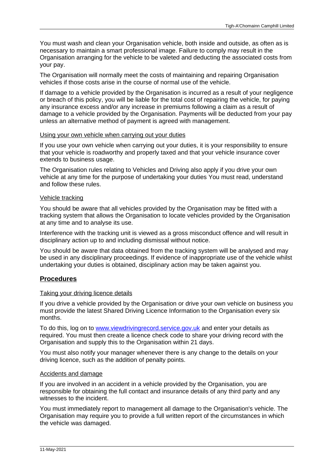You must wash and clean your Organisation vehicle, both inside and outside, as often as is necessary to maintain a smart professional image. Failure to comply may result in the Organisation arranging for the vehicle to be valeted and deducting the associated costs from your pay.

The Organisation will normally meet the costs of maintaining and repairing Organisation vehicles if those costs arise in the course of normal use of the vehicle.

If damage to a vehicle provided by the Organisation is incurred as a result of your negligence or breach of this policy, you will be liable for the total cost of repairing the vehicle, for paying any insurance excess and/or any increase in premiums following a claim as a result of damage to a vehicle provided by the Organisation. Payments will be deducted from your pay unless an alternative method of payment is agreed with management.

#### Using your own vehicle when carrying out your duties

If you use your own vehicle when carrying out your duties, it is your responsibility to ensure that your vehicle is roadworthy and properly taxed and that your vehicle insurance cover extends to business usage.

The Organisation rules relating to Vehicles and Driving also apply if you drive your own vehicle at any time for the purpose of undertaking your duties You must read, understand and follow these rules.

# Vehicle tracking

You should be aware that all vehicles provided by the Organisation may be fitted with a tracking system that allows the Organisation to locate vehicles provided by the Organisation at any time and to analyse its use.

Interference with the tracking unit is viewed as a gross misconduct offence and will result in disciplinary action up to and including dismissal without notice.

You should be aware that data obtained from the tracking system will be analysed and may be used in any disciplinary proceedings. If evidence of inappropriate use of the vehicle whilst undertaking your duties is obtained, disciplinary action may be taken against you.

# **Procedures**

#### Taking your driving licence details

If you drive a vehicle provided by the Organisation or drive your own vehicle on business you must provide the latest Shared Driving Licence Information to the Organisation every six months.

To do this, log on to www.viewdrivingrecord.service.gov.uk and enter your details as required. You must then create a licence check code to share your driving record with the Organisation and supply this to the Organisation within 21 days.

You must also notify your manager whenever there is any change to the details on your driving licence, such as the addition of penalty points.

#### Accidents and damage

If you are involved in an accident in a vehicle provided by the Organisation, you are responsible for obtaining the full contact and insurance details of any third party and any witnesses to the incident.

You must immediately report to management all damage to the Organisation's vehicle. The Organisation may require you to provide a full written report of the circumstances in which the vehicle was damaged.